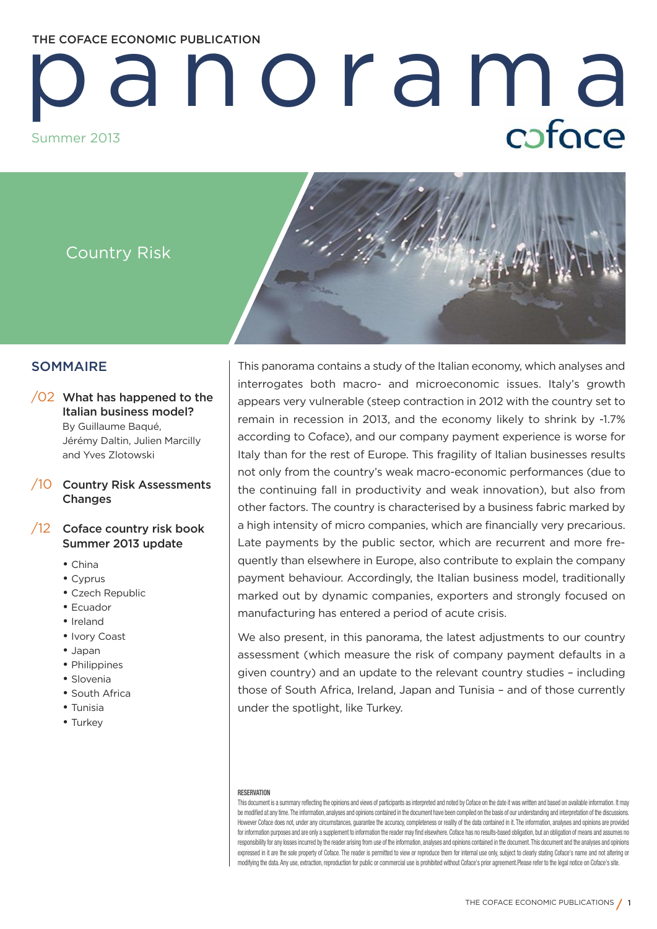# **THE COFACE ECONOMIC PUBLICATION**

# p a n o ra m a caface Summer 2013

Country Risk



# **SOMMAIRE**

# /02 **What has happened to the Italian business model?** By Guillaume Baqué, Jérémy Daltin, Julien Marcilly and Yves Zlotowski

/10 **Country Risk Assessments Changes**

# /12 **Coface country risk book Summer 2013 update**

- China
- Cyprus
- Czech Republic
- Ecuador
- Ireland
- Ivory Coast
- Japan
- Philippines
- Slovenia
- South Africa
- Tunisia
- Turkey

This panorama contains a study of the Italian economy, which analyses and interrogates both macro- and microeconomic issues. Italy's growth appears very vulnerable (steep contraction in 2012 with the country set to remain in recession in 2013, and the economy likely to shrink by -1.7% according to Coface), and our company payment experience is worse for Italy than for the rest of Europe. This fragility of Italian businesses results not only from the country's weak macro-economic performances (due to the continuing fall in productivity and weak innovation), but also from other factors. The country is characterised by a business fabric marked by a high intensity of micro companies, which are financially very precarious. Late payments by the public sector, which are recurrent and more frequently than elsewhere in Europe, also contribute to explain the company payment behaviour. Accordingly, the Italian business model, traditionally marked out by dynamic companies, exporters and strongly focused on manufacturing has entered a period of acute crisis.

We also present, in this panorama, the latest adjustments to our country assessment (which measure the risk of company payment defaults in a given country) and an update to the relevant country studies – including those of South Africa, Ireland, Japan and Tunisia – and of those currently under the spotlight, like Turkey.

#### **RESERVATION**

This document is a summary reflecting the opinions and views of participants as interpreted and noted by Coface on the date it was written and based on available information. It may be modified at any time. The information, analyses and opinions contained in the document have been compiled on the basis of our understanding and interpretation of the discussions. However Coface does not, under any circumstances, guarantee the accuracy, completeness or reality of the data contained in it. The information, analyses and opinions are provided for information purposes and are only a supplement to information the reader may find elsewhere. Coface has no results-based obligation, but an obligation of means and assumes no responsibility for any losses incurred by the reader arising from use of the information, analyses and opinions contained in the document. This document and the analyses and opinions expressed in it are the sole property of Coface. The reader is permitted to view or reproduce them for internal use only, subject to clearly stating Coface's name and not altering or modifying the data. Any use, extraction, reproduction for public or commercial use is prohibited without Coface's prior agreement.Please refer to the legal notice on Coface's site.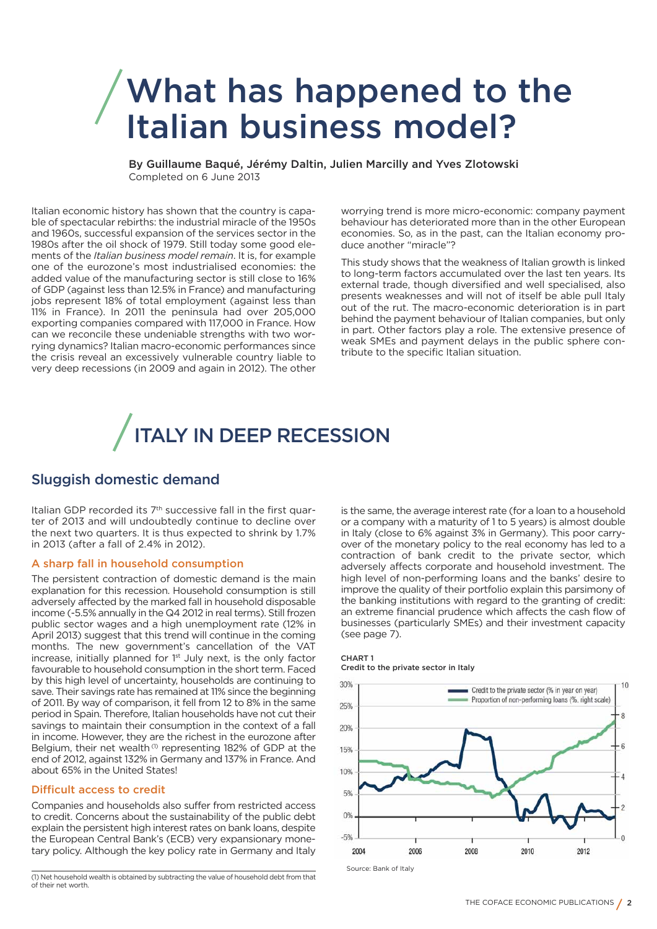# **What has happened to the Italian business model?**

**By Guillaume Baqué, Jérémy Daltin, Julien Marcilly and Yves Zlotowski** Completed on 6 June 2013

Italian economic history has shown that the country is capable of spectacular rebirths: the industrial miracle of the 1950s and 1960s, successful expansion of the services sector in the 1980s after the oil shock of 1979. Still today some good elements of the *Italian business model remain*. It is, for example one of the eurozone's most industrialised economies: the added value of the manufacturing sector is still close to 16% of GDP (against less than 12.5% in France) and manufacturing jobs represent 18% of total employment (against less than 11% in France). In 2011 the peninsula had over 205,000 exporting companies compared with 117,000 in France. How can we reconcile these undeniable strengths with two worrying dynamics? Italian macro-economic performances since the crisis reveal an excessively vulnerable country liable to very deep recessions (in 2009 and again in 2012). The other

worrying trend is more micro-economic: company payment behaviour has deteriorated more than in the other European economies. So, as in the past, can the Italian economy produce another "miracle"?

This study shows that the weakness of Italian growth is linked to long-term factors accumulated over the last ten years. Its external trade, though diversified and well specialised, also presents weaknesses and will not of itself be able pull Italy out of the rut. The macro-economic deterioration is in part behind the payment behaviour of Italian companies, but only in part. Other factors play a role. The extensive presence of weak SMEs and payment delays in the public sphere contribute to the specific Italian situation.

# **ITALY IN DEEP RECESSION**

# **Sluggish domestic demand**

Italian GDP recorded its 7th successive fall in the first quarter of 2013 and will undoubtedly continue to decline over the next two quarters. It is thus expected to shrink by 1.7% in 2013 (after a fall of 2.4% in 2012).

## **A sharp fall in household consumption**

The persistent contraction of domestic demand is the main explanation for this recession. Household consumption is still adversely affected by the marked fall in household disposable income (-5.5% annually in the Q4 2012 in real terms). Still frozen public sector wages and a high unemployment rate (12% in April 2013) suggest that this trend will continue in the coming months. The new government's cancellation of the VAT increase, initially planned for 1st July next, is the only factor favourable to household consumption in the short term. Faced by this high level of uncertainty, households are continuing to save. Their savings rate has remained at 11% since the beginning of 2011. By way of comparison, it fell from 12 to 8% in the same period in Spain. Therefore, Italian households have not cut their savings to maintain their consumption in the context of a fall in income. However, they are the richest in the eurozone after Belgium, their net wealth<sup>(1)</sup> representing 182% of GDP at the end of 2012, against 132% in Germany and 137% in France. And about 65% in the United States!

# **Difficult access to credit**

Companies and households also suffer from restricted access to credit. Concerns about the sustainability of the public debt explain the persistent high interest rates on bank loans, despite the European Central Bank's (ECB) very expansionary monetary policy. Although the key policy rate in Germany and Italy

(1) Net household wealth is obtained by subtracting the value of household debt from that of their net worth.

is the same, the average interest rate (for a loan to a household or a company with a maturity of 1 to 5 years) is almost double in Italy (close to 6% against 3% in Germany). This poor carryover of the monetary policy to the real economy has led to a contraction of bank credit to the private sector, which adversely affects corporate and household investment. The high level of non-performing loans and the banks' desire to improve the quality of their portfolio explain this parsimony of the banking institutions with regard to the granting of credit: an extreme financial prudence which affects the cash flow of businesses (particularly SMEs) and their investment capacity (see page 7).

### **CHART 1**

**Credit to the private sector in Italy** 

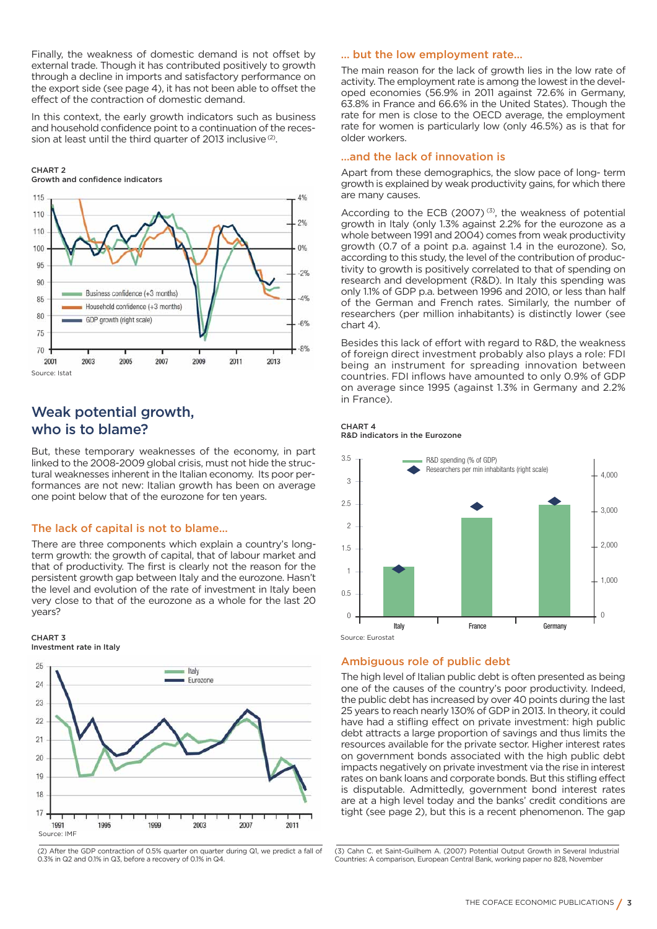Finally, the weakness of domestic demand is not offset by external trade. Though it has contributed positively to growth through a decline in imports and satisfactory performance on the export side (see page 4), it has not been able to offset the effect of the contraction of domestic demand.

In this context, the early growth indicators such as business and household confidence point to a continuation of the recession at least until the third quarter of 2013 inclusive<sup>(2)</sup>.

#### **CHART 2 Growth and confidence indicators**



# **Weak potential growth, who is to blame?**

But, these temporary weaknesses of the economy, in part linked to the 2008-2009 global crisis, must not hide the structural weaknesses inherent in the Italian economy. Its poor performances are not new: Italian growth has been on average one point below that of the eurozone for ten years.

## **The lack of capital is not to blame…**

There are three components which explain a country's longterm growth: the growth of capital, that of labour market and that of productivity. The first is clearly not the reason for the persistent growth gap between Italy and the eurozone. Hasn't the level and evolution of the rate of investment in Italy been very close to that of the eurozone as a whole for the last 20 years?

#### **CHART 3 Investment rate in Italy**



(2) After the GDP contraction of 0.5% quarter on quarter during Q1, we predict a fall of 0.3% in Q2 and 0.1% in Q3, before a recovery of 0.1% in Q4.

### **… but the low employment rate…**

The main reason for the lack of growth lies in the low rate of activity. The employment rate is among the lowest in the developed economies (56.9% in 2011 against 72.6% in Germany, 63.8% in France and 66.6% in the United States). Though the rate for men is close to the OECD average, the employment rate for women is particularly low (only 46.5%) as is that for older workers.

## **…and the lack of innovation is**

Apart from these demographics, the slow pace of long- term growth is explained by weak productivity gains, for which there are many causes.

According to the ECB (2007) $(3)$ , the weakness of potential growth in Italy (only 1.3% against 2.2% for the eurozone as a whole between 1991 and 2004) comes from weak productivity growth (0.7 of a point p.a. against 1.4 in the eurozone). So, according to this study, the level of the contribution of productivity to growth is positively correlated to that of spending on research and development (R&D). In Italy this spending was only 1.1% of GDP p.a. between 1996 and 2010, or less than half of the German and French rates. Similarly, the number of researchers (per million inhabitants) is distinctly lower (see chart 4).

Besides this lack of effort with regard to R&D, the weakness of foreign direct investment probably also plays a role: FDI being an instrument for spreading innovation between countries. FDI inflows have amounted to only 0.9% of GDP on average since 1995 (against 1.3% in Germany and 2.2% in France).







# **Ambiguous role of public debt**

The high level of Italian public debt is often presented as being one of the causes of the country's poor productivity. Indeed, the public debt has increased by over 40 points during the last 25 years to reach nearly 130% of GDP in 2013. In theory, it could have had a stifling effect on private investment: high public debt attracts a large proportion of savings and thus limits the resources available for the private sector. Higher interest rates on government bonds associated with the high public debt impacts negatively on private investment via the rise in interest rates on bank loans and corporate bonds. But this stifling effect is disputable. Admittedly, government bond interest rates are at a high level today and the banks' credit conditions are tight (see page 2), but this is a recent phenomenon. The gap

(3) Cahn C. et Saint-Guilhem A. (2007) Potential Output Growth in Several Industrial Countries: A comparison, European Central Bank, working paper no 828, November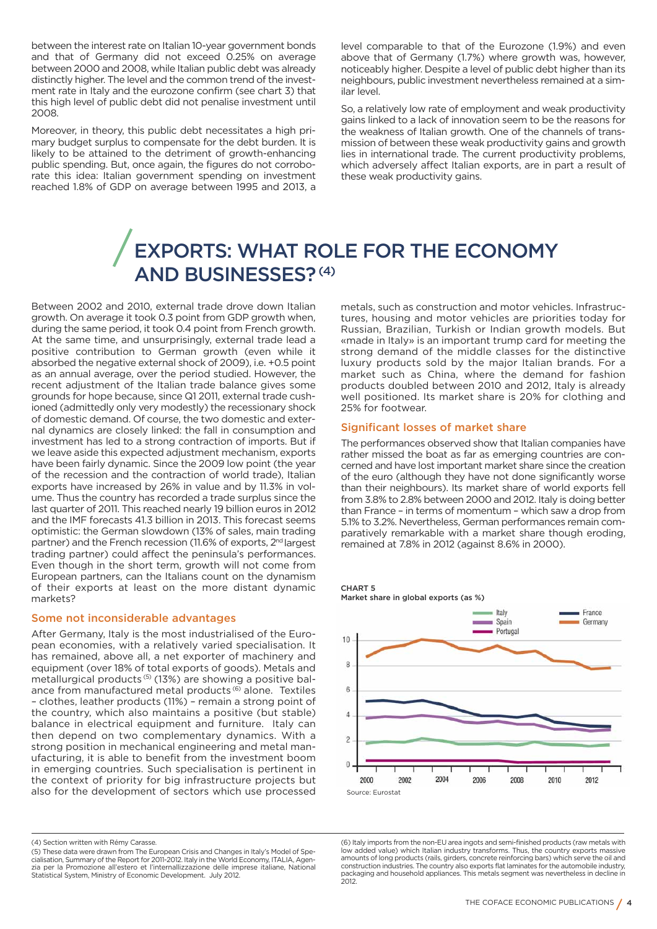between the interest rate on Italian 10-year government bonds and that of Germany did not exceed 0.25% on average between 2000 and 2008, while Italian public debt was already distinctly higher. The level and the common trend of the investment rate in Italy and the eurozone confirm (see chart 3) that this high level of public debt did not penalise investment until 2008.

Moreover, in theory, this public debt necessitates a high primary budget surplus to compensate for the debt burden. It is likely to be attained to the detriment of growth-enhancing public spending. But, once again, the figures do not corroborate this idea: Italian government spending on investment reached 1.8% of GDP on average between 1995 and 2013, a level comparable to that of the Eurozone (1.9%) and even above that of Germany (1.7%) where growth was, however, noticeably higher. Despite a level of public debt higher than its neighbours, public investment nevertheless remained at a similar level.

So, a relatively low rate of employment and weak productivity gains linked to a lack of innovation seem to be the reasons for the weakness of Italian growth. One of the channels of transmission of between these weak productivity gains and growth lies in international trade. The current productivity problems, which adversely affect Italian exports, are in part a result of these weak productivity gains.

# **EXPORTS: WHAT ROLE FOR THE ECONOMY AND BUSINESSES?(4)**

Between 2002 and 2010, external trade drove down Italian growth. On average it took 0.3 point from GDP growth when, during the same period, it took 0.4 point from French growth. At the same time, and unsurprisingly, external trade lead a positive contribution to German growth (even while it absorbed the negative external shock of 2009), i.e. +0.5 point as an annual average, over the period studied. However, the recent adjustment of the Italian trade balance gives some grounds for hope because, since Q1 2011, external trade cushioned (admittedly only very modestly) the recessionary shock of domestic demand. Of course, the two domestic and external dynamics are closely linked: the fall in consumption and investment has led to a strong contraction of imports. But if we leave aside this expected adjustment mechanism, exports have been fairly dynamic. Since the 2009 low point (the year of the recession and the contraction of world trade), Italian exports have increased by 26% in value and by 11.3% in volume. Thus the country has recorded a trade surplus since the last quarter of 2011. This reached nearly 19 billion euros in 2012 and the IMF forecasts 41.3 billion in 2013. This forecast seems optimistic: the German slowdown (13% of sales, main trading partner) and the French recession (11.6% of exports, 2<sup>nd</sup> largest trading partner) could affect the peninsula's performances. Even though in the short term, growth will not come from European partners, can the Italians count on the dynamism of their exports at least on the more distant dynamic markets?

### **Some not inconsiderable advantages**

After Germany, Italy is the most industrialised of the European economies, with a relatively varied specialisation. It has remained, above all, a net exporter of machinery and equipment (over 18% of total exports of goods). Metals and metallurgical products<sup>(5)</sup> (13%) are showing a positive balance from manufactured metal products<sup>(6)</sup> alone. Textiles – clothes, leather products (11%) – remain a strong point of the country, which also maintains a positive (but stable) balance in electrical equipment and furniture. Italy can then depend on two complementary dynamics. With a strong position in mechanical engineering and metal manufacturing, it is able to benefit from the investment boom in emerging countries. Such specialisation is pertinent in the context of priority for big infrastructure projects but also for the development of sectors which use processed

metals, such as construction and motor vehicles. Infrastructures, housing and motor vehicles are priorities today for Russian, Brazilian, Turkish or Indian growth models. But «made in Italy» is an important trump card for meeting the strong demand of the middle classes for the distinctive luxury products sold by the major Italian brands. For a market such as China, where the demand for fashion products doubled between 2010 and 2012, Italy is already well positioned. Its market share is 20% for clothing and 25% for footwear.

## **Significant losses of market share**

The performances observed show that Italian companies have rather missed the boat as far as emerging countries are concerned and have lost important market share since the creation of the euro (although they have not done significantly worse than their neighbours). Its market share of world exports fell from 3.8% to 2.8% between 2000 and 2012. Italy is doing better than France – in terms of momentum – which saw a drop from 5.1% to 3.2%. Nevertheless, German performances remain comparatively remarkable with a market share though eroding, remained at 7.8% in 2012 (against 8.6% in 2000).



**CHART 5 Market share in global exports (as %)**

(6) Italy imports from the non-EU area ingots and semi-finished products (raw metals with low added value) which Italian industry transforms. Thus, the country exports massive amounts of long products (rails, girders, concrete reinforcing bars) which serve the oil and construction industries. The country also exports flat laminates for the automobile industry, packaging and household appliances. This metals segment was nevertheless in decline in 2012.

<sup>(4)</sup> Section written with Rémy Carasse.

<sup>(5)</sup> These data were drawn from The European Crisis and Changes in Italy's Model of Specialisation, Summary of the Report for 2011-2012. Italy in the World Economy, ITALIA, Agen-zia per la Promozione all'estero et l'internallizzazione delle imprese italiane, National Statistical System, Ministry of Economic Development. July 2012.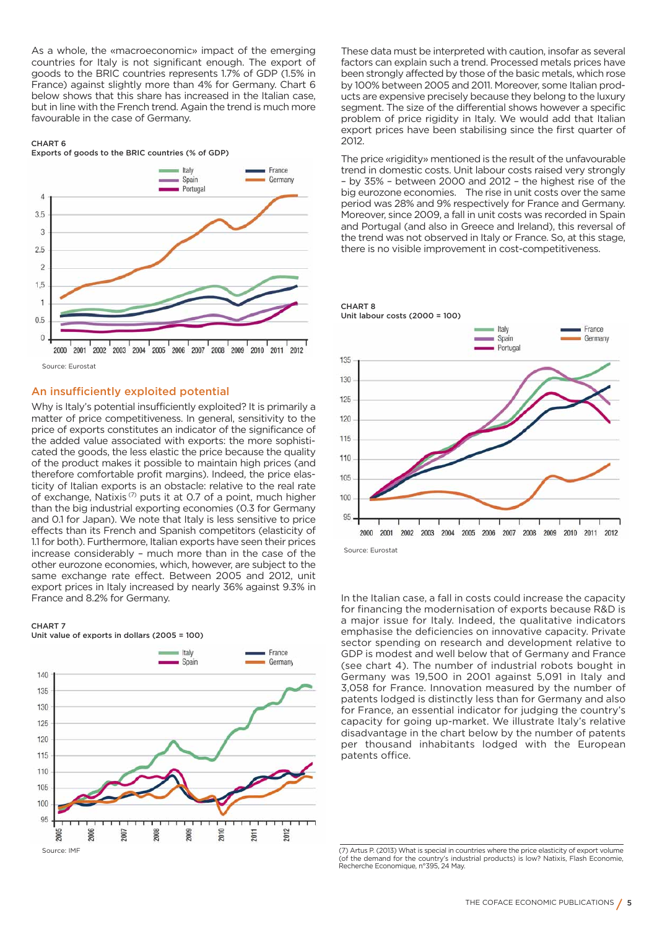As a whole, the «macroeconomic» impact of the emerging countries for Italy is not significant enough. The export of goods to the BRIC countries represents 1.7% of GDP (1.5% in France) against slightly more than 4% for Germany. Chart 6 below shows that this share has increased in the Italian case, but in line with the French trend. Again the trend is much more favourable in the case of Germany.

**CHART 6 Exports of goods to the BRIC countries (% of GDP)**



### **An insufficiently exploited potential**

Why is Italy's potential insufficiently exploited? It is primarily a matter of price competitiveness. In general, sensitivity to the price of exports constitutes an indicator of the significance of the added value associated with exports: the more sophisticated the goods, the less elastic the price because the quality of the product makes it possible to maintain high prices (and therefore comfortable profit margins). Indeed, the price elasticity of Italian exports is an obstacle: relative to the real rate of exchange, Natixis<sup> $(7)$ </sup> puts it at 0.7 of a point, much higher than the big industrial exporting economies (0.3 for Germany and 0.1 for Japan). We note that Italy is less sensitive to price effects than its French and Spanish competitors (elasticity of 1.1 for both). Furthermore, Italian exports have seen their prices increase considerably – much more than in the case of the other eurozone economies, which, however, are subject to the same exchange rate effect. Between 2005 and 2012, unit export prices in Italy increased by nearly 36% against 9.3% in France and 8.2% for Germany.

#### **CHART 7**



These data must be interpreted with caution, insofar as several factors can explain such a trend. Processed metals prices have been strongly affected by those of the basic metals, which rose by 100% between 2005 and 2011. Moreover, some Italian products are expensive precisely because they belong to the luxury segment. The size of the differential shows however a specific problem of price rigidity in Italy. We would add that Italian export prices have been stabilising since the first quarter of 2012.

The price «rigidity» mentioned is the result of the unfavourable trend in domestic costs. Unit labour costs raised very strongly – by 35% – between 2000 and 2012 – the highest rise of the big eurozone economies. The rise in unit costs over the same period was 28% and 9% respectively for France and Germany. Moreover, since 2009, a fall in unit costs was recorded in Spain and Portugal (and also in Greece and Ireland), this reversal of the trend was not observed in Italy or France. So, at this stage, there is no visible improvement in cost-competitiveness.



Source: Eurostat

**CHART 8** 

**Unit labour costs (2000 = 100)**

In the Italian case, a fall in costs could increase the capacity for financing the modernisation of exports because R&D is a major issue for Italy. Indeed, the qualitative indicators emphasise the deficiencies on innovative capacity. Private sector spending on research and development relative to GDP is modest and well below that of Germany and France (see chart 4). The number of industrial robots bought in Germany was 19,500 in 2001 against 5,091 in Italy and 3,058 for France. Innovation measured by the number of patents lodged is distinctly less than for Germany and also for France, an essential indicator for judging the country's capacity for going up-market. We illustrate Italy's relative disadvantage in the chart below by the number of patents per thousand inhabitants lodged with the European patents office.

<sup>(7)</sup> Artus P. (2013) What is special in countries where the price elasticity of export volume (of the demand for the country's industrial products) is low? Natixis, Flash Economie, Recherche Economique, n°395, 24 May.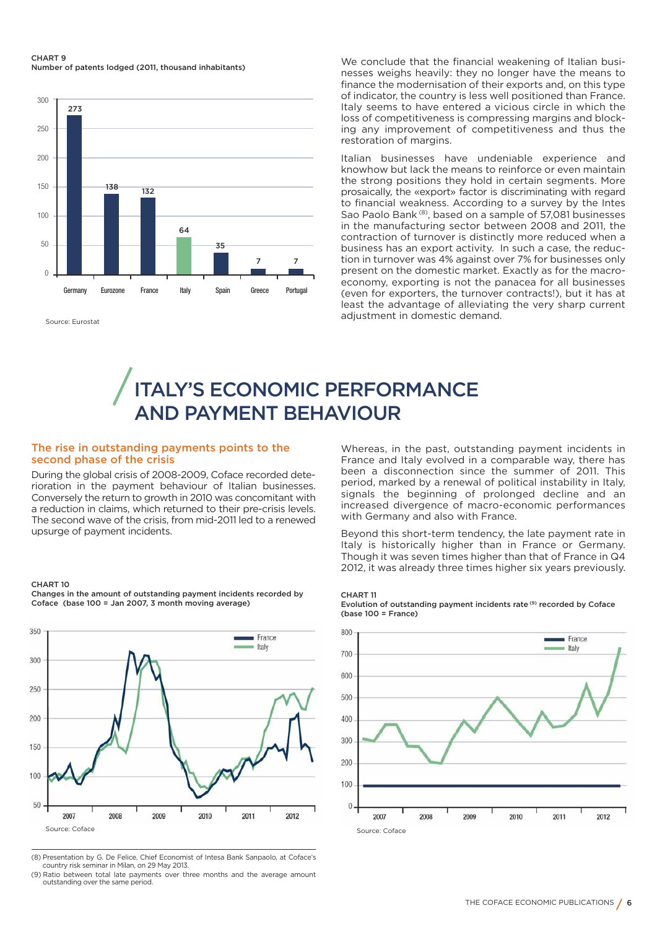#### **CHART 9 Number of patents lodged (2011, thousand inhabitants)**



Source: Eurostat

We conclude that the financial weakening of Italian businesses weighs heavily: they no longer have the means to finance the modernisation of their exports and, on this type of indicator, the country is less well positioned than France. Italy seems to have entered a vicious circle in which the loss of competitiveness is compressing margins and blocking any improvement of competitiveness and thus the restoration of margins.

Italian businesses have undeniable experience and knowhow but lack the means to reinforce or even maintain the strong positions they hold in certain segments. More prosaically, the «export» factor is discriminating with regard to financial weakness. According to a survey by the Intes Sao Paolo Bank (8), based on a sample of 57,081 businesses in the manufacturing sector between 2008 and 2011, the contraction of turnover is distinctly more reduced when a business has an export activity. In such a case, the reduction in turnover was 4% against over 7% for businesses only present on the domestic market. Exactly as for the macroeconomy, exporting is not the panacea for all businesses (even for exporters, the turnover contracts!), but it has at least the advantage of alleviating the very sharp current adjustment in domestic demand.

# **ITALY'S ECONOMIC PERFORMANCE AND PAYMENT BEHAVIOUR**

### **The rise in outstanding payments points to the second phase of the crisis**

During the global crisis of 2008-2009, Coface recorded deterioration in the payment behaviour of Italian businesses. Conversely the return to growth in 2010 was concomitant with a reduction in claims, which returned to their pre-crisis levels. The second wave of the crisis, from mid-2011 led to a renewed upsurge of payment incidents.

#### **CHART 10**



**Changes in the amount of outstanding payment incidents recorded by Coface (base 100 = Jan 2007, 3 month moving average)**

(8) Presentation by G. De Felice, Chief Economist of Intesa Bank Sanpaolo, at Coface's country risk seminar in Milan, on 29 May 2013.

(9) Ratio between total late payments over three months and the average amount outstanding over the same period.

Whereas, in the past, outstanding payment incidents in France and Italy evolved in a comparable way, there has been a disconnection since the summer of 2011. This period, marked by a renewal of political instability in Italy, signals the beginning of prolonged decline and an increased divergence of macro-economic performances with Germany and also with France.

Beyond this short-term tendency, the late payment rate in Italy is historically higher than in France or Germany. Though it was seven times higher than that of France in Q4 2012, it was already three times higher six years previously.

## **CHART 11**



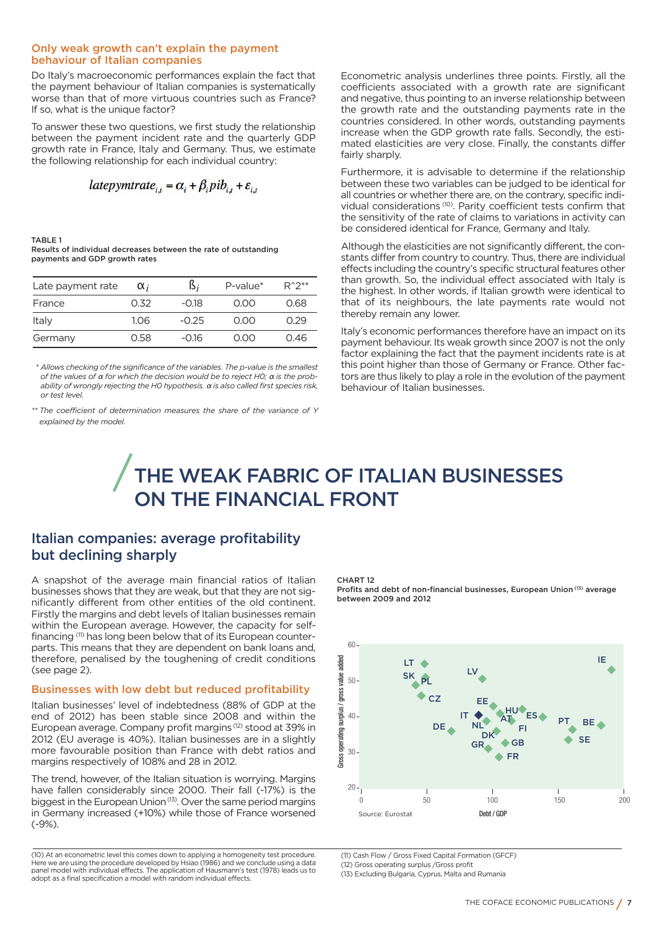### **Only weak growth can't explain the payment behaviour of Italian companies**

Do Italy's macroeconomic performances explain the fact that the payment behaviour of Italian companies is systematically worse than that of more virtuous countries such as France? If so, what is the unique factor?

To answer these two questions, we first study the relationship between the payment incident rate and the quarterly GDP growth rate in France, Italy and Germany. Thus, we estimate the following relationship for each individual country:

$$
latepymtrate_{i,t} = \alpha_i + \beta_i pib_{i,t} + \varepsilon_{i,t}
$$

**TABLE 1**

**Results of individual decreases between the rate of outstanding payments and GDP growth rates**

| Late payment rate | $\alpha$ | D,      | $P$ -value $*$ | $R^{\wedge}2^{**}$ |
|-------------------|----------|---------|----------------|--------------------|
| France            | 0.32     | $-0.18$ | 0.OO           | 0.68               |
| Italy             | 1.06     | $-0.25$ | 0.OO           | 0.29               |
| Germany           | 0.58     | -0.16   | 0.OO           | 0.46               |

*\* Allows checking of the significance of the variables. The p-value is the smallest of the values of* <sup>α</sup> *for which the decision would be to reject H0;* <sup>α</sup> *is the probability of wrongly rejecting the H0 hypothesis.* <sup>α</sup> *is also called first species risk, or test level.* 

*\*\* The coefficient of determination measures the share of the variance of Y explained by the model.*

Econometric analysis underlines three points. Firstly, all the coefficients associated with a growth rate are significant and negative, thus pointing to an inverse relationship between the growth rate and the outstanding payments rate in the countries considered. In other words, outstanding payments increase when the GDP growth rate falls. Secondly, the estimated elasticities are very close. Finally, the constants differ fairly sharply.

Furthermore, it is advisable to determine if the relationship between these two variables can be judged to be identical for all countries or whether there are, on the contrary, specific individual considerations (10). Parity coefficient tests confirm that the sensitivity of the rate of claims to variations in activity can be considered identical for France, Germany and Italy.

Although the elasticities are not significantly different, the constants differ from country to country. Thus, there are individual effects including the country's specific structural features other than growth. So, the individual effect associated with Italy is the highest. In other words, if Italian growth were identical to that of its neighbours, the late payments rate would not thereby remain any lower.

Italy's economic performances therefore have an impact on its payment behaviour. Its weak growth since 2007 is not the only factor explaining the fact that the payment incidents rate is at this point higher than those of Germany or France. Other factors are thus likely to play a role in the evolution of the payment behaviour of Italian businesses.

# **THE WEAK FABRIC OF ITALIAN BUSINESSES ON THE FINANCIAL FRONT**

# **Italian companies: average profitability but declining sharply**

A snapshot of the average main financial ratios of Italian businesses shows that they are weak, but that they are not significantly different from other entities of the old continent. Firstly the margins and debt levels of Italian businesses remain within the European average. However, the capacity for selffinancing (11) has long been below that of its European counterparts. This means that they are dependent on bank loans and, therefore, penalised by the toughening of credit conditions (see page 2).

### **Businesses with low debt but reduced profitability**

Italian businesses' level of indebtedness (88% of GDP at the end of 2012) has been stable since 2008 and within the European average. Company profit margins<sup>(12)</sup> stood at 39% in 2012 (EU average is 40%). Italian businesses are in a slightly more favourable position than France with debt ratios and margins respectively of 108% and 28 in 2012.

The trend, however, of the Italian situation is worrying. Margins have fallen considerably since 2000. Their fall (-17%) is the biggest in the European Union<sup>(13)</sup>. Over the same period margins in Germany increased (+10%) while those of France worsened (-9%).

(10) At an econometric level this comes down to applying a homogeneity test procedure. Here we are using the procedure developed by Hsiao (1986) and we conclude using a data panel model with individual effects. The application of Hausmann's test (1978) leads us to adopt as a final specification a model with random individual effects.

**CHART 12**

**Profits and debt of non-financial businesses, European Union (13) average between 2009 and 2012** 



(11) Cash Flow / Gross Fixed Capital Formation (GFCF)

(13) Excluding Bulgaria, Cyprus, Malta and Rumania

<sup>(12)</sup> Gross operating surplus /Gross profit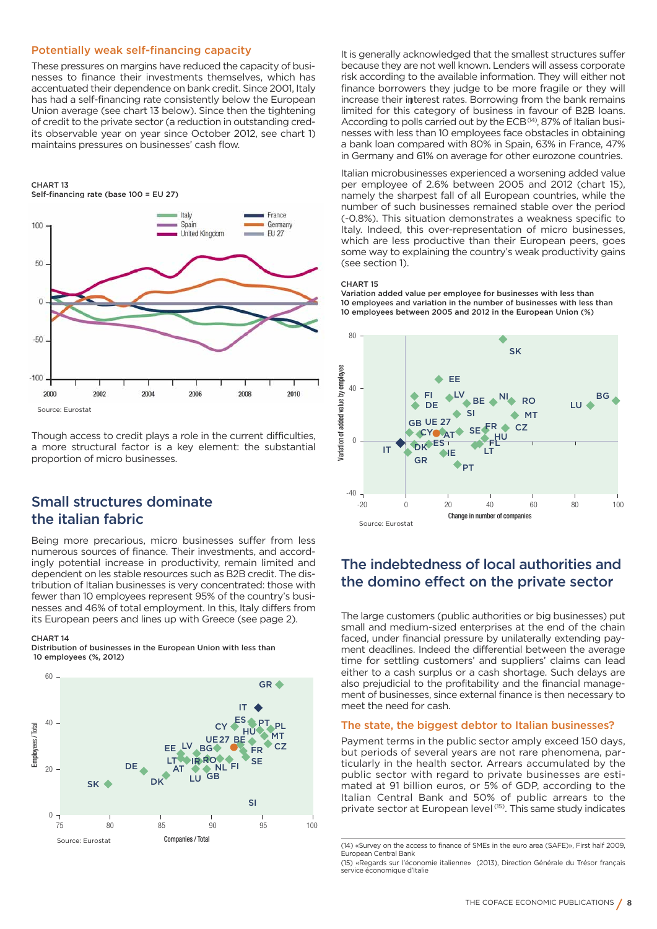## **Potentially weak self-financing capacity**

These pressures on margins have reduced the capacity of businesses to finance their investments themselves, which has accentuated their dependence on bank credit. Since 2001, Italy has had a self-financing rate consistently below the European Union average (see chart 13 below). Since then the tightening of credit to the private sector (a reduction in outstanding credits observable year on year since October 2012, see chart 1) maintains pressures on businesses' cash flow.

#### **CHART 13 Self-financing rate (base 100 = EU 27)**



Though access to credit plays a role in the current difficulties, a more structural factor is a key element: the substantial proportion of micro businesses.

# **Small structures dominate the italian fabric**

Being more precarious, micro businesses suffer from less numerous sources of finance. Their investments, and accordingly potential increase in productivity, remain limited and dependent on les stable resources such as B2B credit. The distribution of Italian businesses is very concentrated: those with fewer than 10 employees represent 95% of the country's businesses and 46% of total employment. In this, Italy differs from its European peers and lines up with Greece (see page 2).

#### **CHART 14**

**Distribution of businesses in the European Union with less than 10 employees (%, 2012)**



It is generally acknowledged that the smallest structures suffer because they are not well known. Lenders will assess corporate risk according to the available information. They will either not finance borrowers they judge to be more fragile or they will increase their interest rates. Borrowing from the bank remains limited for this category of business in favour of B2B loans. According to polls carried out by the ECB<sup>(14)</sup>, 87% of Italian businesses with less than 10 employees face obstacles in obtaining a bank loan compared with 80% in Spain, 63% in France, 47% in Germany and 61% on average for other eurozone countries.

Italian microbusinesses experienced a worsening added value per employee of 2.6% between 2005 and 2012 (chart 15), namely the sharpest fall of all European countries, while the number of such businesses remained stable over the period (-0.8%). This situation demonstrates a weakness specific to Italy. Indeed, this over-representation of micro businesses, which are less productive than their European peers, goes some way to explaining the country's weak productivity gains (see section 1).

#### **CHART 15**

**Variation added value per employee for businesses with less than 10 employees and variation in the number of businesses with less than 10 employees between 2005 and 2012 in the European Union (%)**



# **The indebtedness of local authorities and the domino effect on the private sector**

The large customers (public authorities or big businesses) put small and medium-sized enterprises at the end of the chain faced, under financial pressure by unilaterally extending payment deadlines. Indeed the differential between the average time for settling customers' and suppliers' claims can lead either to a cash surplus or a cash shortage. Such delays are also prejudicial to the profitability and the financial management of businesses, since external finance is then necessary to meet the need for cash.

### **The state, the biggest debtor to Italian businesses?**

Payment terms in the public sector amply exceed 150 days, but periods of several years are not rare phenomena, particularly in the health sector. Arrears accumulated by the public sector with regard to private businesses are estimated at 91 billion euros, or 5% of GDP, according to the Italian Central Bank and 50% of public arrears to the private sector at European level (15). This same study indicates

<sup>(14) «</sup>Survey on the access to finance of SMEs in the euro area (SAFE)», First half 2009, European Central Bank

<sup>(15) «</sup>Regards sur l'économie italienne» (2013), Direction Générale du Trésor français service économique d'Italie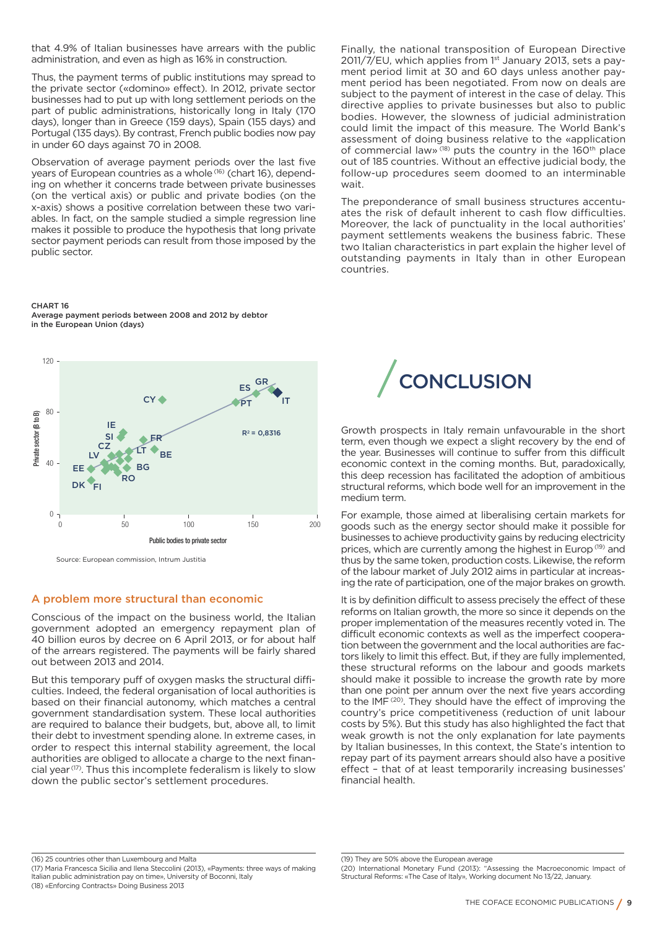that 4.9% of Italian businesses have arrears with the public administration, and even as high as 16% in construction.

Thus, the payment terms of public institutions may spread to the private sector («domino» effect). In 2012, private sector businesses had to put up with long settlement periods on the part of public administrations, historically long in Italy (170 days), longer than in Greece (159 days), Spain (155 days) and Portugal (135 days). By contrast, French public bodies now pay in under 60 days against 70 in 2008.

Observation of average payment periods over the last five years of European countries as a whole<sup>(16)</sup> (chart 16), depending on whether it concerns trade between private businesses (on the vertical axis) or public and private bodies (on the x-axis) shows a positive correlation between these two variables. In fact, on the sample studied a simple regression line makes it possible to produce the hypothesis that long private sector payment periods can result from those imposed by the public sector.

Finally, the national transposition of European Directive 2011/7/EU, which applies from 1<sup>st</sup> January 2013, sets a payment period limit at 30 and 60 days unless another payment period has been negotiated. From now on deals are subject to the payment of interest in the case of delay. This directive applies to private businesses but also to public bodies. However, the slowness of judicial administration could limit the impact of this measure. The World Bank's assessment of doing business relative to the «application of commercial law»<sup>(18)</sup> puts the country in the 160<sup>th</sup> place out of 185 countries. Without an effective judicial body, the follow-up procedures seem doomed to an interminable wait.

The preponderance of small business structures accentuates the risk of default inherent to cash flow difficulties. Moreover, the lack of punctuality in the local authorities' payment settlements weakens the business fabric. These two Italian characteristics in part explain the higher level of outstanding payments in Italy than in other European countries.

**CHART 16 Average payment periods between 2008 and 2012 by debtor in the European Union (days)**



# **A problem more structural than economic**

Conscious of the impact on the business world, the Italian government adopted an emergency repayment plan of 40 billion euros by decree on 6 April 2013, or for about half of the arrears registered. The payments will be fairly shared out between 2013 and 2014.

But this temporary puff of oxygen masks the structural difficulties. Indeed, the federal organisation of local authorities is based on their financial autonomy, which matches a central government standardisation system. These local authorities are required to balance their budgets, but, above all, to limit their debt to investment spending alone. In extreme cases, in order to respect this internal stability agreement, the local authorities are obliged to allocate a charge to the next financial year (17). Thus this incomplete federalism is likely to slow down the public sector's settlement procedures.



Growth prospects in Italy remain unfavourable in the short term, even though we expect a slight recovery by the end of the year. Businesses will continue to suffer from this difficult economic context in the coming months. But, paradoxically, this deep recession has facilitated the adoption of ambitious structural reforms, which bode well for an improvement in the medium term.

For example, those aimed at liberalising certain markets for goods such as the energy sector should make it possible for businesses to achieve productivity gains by reducing electricity prices, which are currently among the highest in Europ<sup>(19)</sup> and thus by the same token, production costs. Likewise, the reform of the labour market of July 2012 aims in particular at increasing the rate of participation, one of the major brakes on growth.

It is by definition difficult to assess precisely the effect of these reforms on Italian growth, the more so since it depends on the proper implementation of the measures recently voted in. The difficult economic contexts as well as the imperfect cooperation between the government and the local authorities are factors likely to limit this effect. But, if they are fully implemented, these structural reforms on the labour and goods markets should make it possible to increase the growth rate by more than one point per annum over the next five years according to the IMF<sup>(20)</sup>. They should have the effect of improving the country's price competitiveness (reduction of unit labour costs by 5%). But this study has also highlighted the fact that weak growth is not the only explanation for late payments by Italian businesses, In this context, the State's intention to repay part of its payment arrears should also have a positive effect – that of at least temporarily increasing businesses' financial health.

(16) 25 countries other than Luxembourg and Malta (17) Maria Francesca Sicilia and Ilena Steccolini (2013), «Payments: three ways of making Italian public administration pay on time», University of Boconni, Italy

(18) «Enforcing Contracts» Doing Business 2013

<sup>(19)</sup> They are 50% above the European average

<sup>(20)</sup> International Monetary Fund (2013): "Assessing the Macroeconomic Impact of Structural Reforms: «The Case of Italy», Working document No 13/22, January.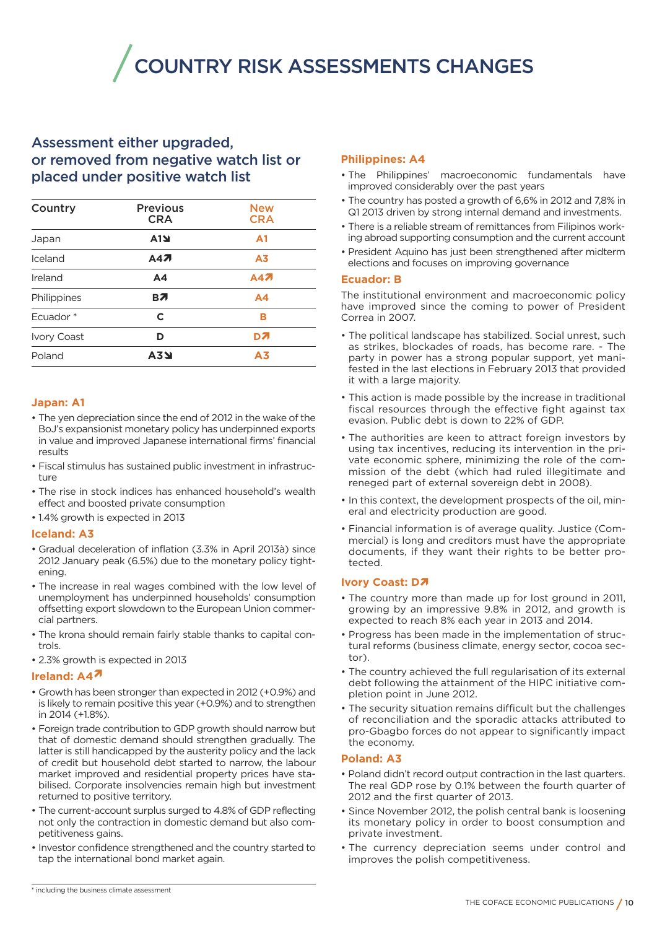**COUNTRY RISK ASSESSMENTS CHANGES**

# **Assessment either upgraded, or removed from negative watch list or placed under positive watch list**

| Country              | <b>Previous</b><br><b>CRA</b> | <b>New</b><br><b>CRA</b> |
|----------------------|-------------------------------|--------------------------|
| Japan                | A1                            | A <sub>1</sub>           |
| Iceland              | A47                           | A <sub>3</sub>           |
| Ireland              | A4                            | A47                      |
| Philippines          | BЛ                            | A4                       |
| Ecuador <sup>*</sup> | C                             | в                        |
| <b>Ivory Coast</b>   | D                             | D7                       |
| Poland               | <b>A3Y</b>                    | A <sub>3</sub>           |
|                      |                               |                          |

## **Japan: A1**

- The yen depreciation since the end of 2012 in the wake of the BoJ's expansionist monetary policy has underpinned exports in value and improved Japanese international firms' financial results
- Fiscal stimulus has sustained public investment in infrastructure
- The rise in stock indices has enhanced household's wealth effect and boosted private consumption
- 1.4% growth is expected in 2013

### **Iceland: A3**

- Gradual deceleration of inflation (3.3% in April 2013à) since 2012 January peak (6.5%) due to the monetary policy tightening.
- The increase in real wages combined with the low level of unemployment has underpinned households' consumption offsetting export slowdown to the European Union commercial partners.
- The krona should remain fairly stable thanks to capital controls.
- 2.3% growth is expected in 2013

### **Ireland: A4**Ï

- Growth has been stronger than expected in 2012 (+0.9%) and is likely to remain positive this year (+0.9%) and to strengthen in 2014 (+1.8%).
- Foreign trade contribution to GDP growth should narrow but that of domestic demand should strengthen gradually. The latter is still handicapped by the austerity policy and the lack of credit but household debt started to narrow, the labour market improved and residential property prices have stabilised. Corporate insolvencies remain high but investment returned to positive territory.
- The current-account surplus surged to 4.8% of GDP reflecting not only the contraction in domestic demand but also competitiveness gains.
- Investor confidence strengthened and the country started to tap the international bond market again.

## **Philippines: A4**

- The Philippines' macroeconomic fundamentals have improved considerably over the past years
- The country has posted a growth of 6,6% in 2012 and 7,8% in Q1 2013 driven by strong internal demand and investments.
- There is a reliable stream of remittances from Filipinos working abroad supporting consumption and the current account
- President Aquino has just been strengthened after midterm elections and focuses on improving governance

#### **Ecuador: B**

The institutional environment and macroeconomic policy have improved since the coming to power of President Correa in 2007.

- The political landscape has stabilized. Social unrest, such as strikes, blockades of roads, has become rare. - The party in power has a strong popular support, yet manifested in the last elections in February 2013 that provided it with a large majority.
- This action is made possible by the increase in traditional fiscal resources through the effective fight against tax evasion. Public debt is down to 22% of GDP.
- The authorities are keen to attract foreign investors by using tax incentives, reducing its intervention in the private economic sphere, minimizing the role of the commission of the debt (which had ruled illegitimate and reneged part of external sovereign debt in 2008).
- In this context, the development prospects of the oil, mineral and electricity production are good.
- Financial information is of average quality. Justice (Commercial) is long and creditors must have the appropriate documents, if they want their rights to be better protected.

### **Ivory Coast: D7**

- The country more than made up for lost ground in 2011, growing by an impressive 9.8% in 2012, and growth is expected to reach 8% each year in 2013 and 2014.
- Progress has been made in the implementation of structural reforms (business climate, energy sector, cocoa sector).
- The country achieved the full regularisation of its external debt following the attainment of the HIPC initiative completion point in June 2012.
- The security situation remains difficult but the challenges of reconciliation and the sporadic attacks attributed to pro-Gbagbo forces do not appear to significantly impact the economy.

## **Poland: A3**

- Poland didn't record output contraction in the last quarters. The real GDP rose by 0.1% between the fourth quarter of 2012 and the first quarter of 2013.
- Since November 2012, the polish central bank is loosening its monetary policy in order to boost consumption and private investment.
- The currency depreciation seems under control and improves the polish competitiveness.

\* including the business climate assessment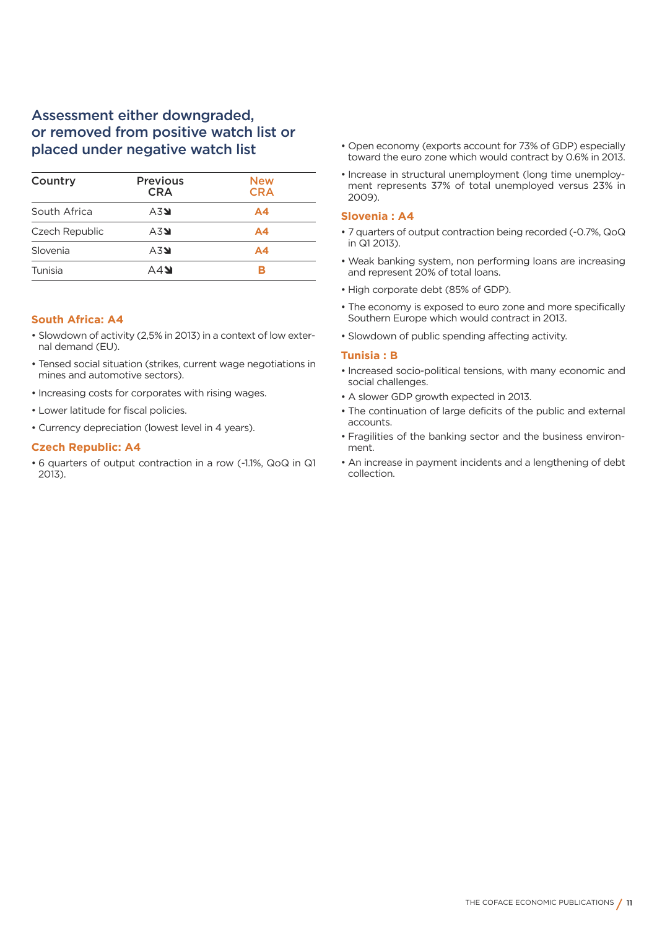# **Assessment either downgraded, or removed from positive watch list or placed under negative watch list**

| Country        | <b>Previous</b><br><b>CRA</b> | <b>New</b><br><b>CRA</b> |
|----------------|-------------------------------|--------------------------|
| South Africa   | A3                            | A4                       |
| Czech Republic | A3                            | A <sub>4</sub>           |
| Slovenia       | A3                            | А4                       |
| Tunisia        | A4                            |                          |

# **South Africa: A4**

- Slowdown of activity (2,5% in 2013) in a context of low external demand (EU).
- Tensed social situation (strikes, current wage negotiations in mines and automotive sectors).
- Increasing costs for corporates with rising wages.
- Lower latitude for fiscal policies.
- Currency depreciation (lowest level in 4 years).

## **Czech Republic: A4**

• 6 quarters of output contraction in a row (-1.1%, QoQ in Q1 2013).

- Open economy (exports account for 73% of GDP) especially toward the euro zone which would contract by 0.6% in 2013.
- Increase in structural unemployment (long time unemployment represents 37% of total unemployed versus 23% in 2009).

### **Slovenia : A4**

- 7 quarters of output contraction being recorded (-0.7%, QoQ in Q1 2013).
- Weak banking system, non performing loans are increasing and represent 20% of total loans.
- High corporate debt (85% of GDP).
- The economy is exposed to euro zone and more specifically Southern Europe which would contract in 2013.
- Slowdown of public spending affecting activity.

### **Tunisia : B**

- Increased socio-political tensions, with many economic and social challenges.
- A slower GDP growth expected in 2013.
- The continuation of large deficits of the public and external accounts.
- Fragilities of the banking sector and the business environment.
- An increase in payment incidents and a lengthening of debt collection.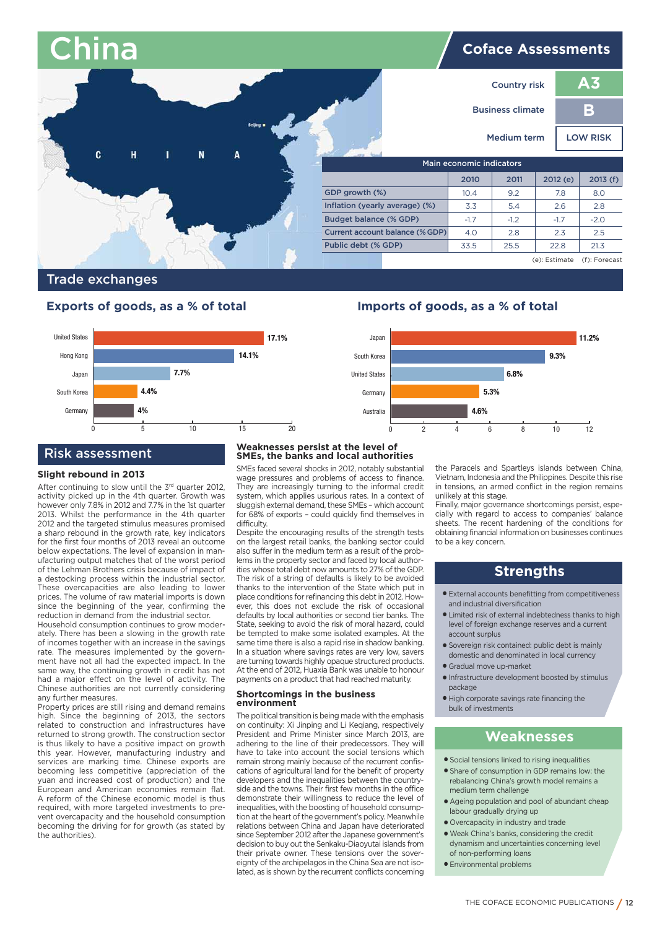| <b>China</b>                     |                                 |                         |        | <b>Coface Assessments</b> |                 |  |
|----------------------------------|---------------------------------|-------------------------|--------|---------------------------|-----------------|--|
|                                  |                                 | <b>Country risk</b>     |        |                           | A <sub>3</sub>  |  |
| <b>Beijing</b>                   |                                 | <b>Business climate</b> |        |                           | B               |  |
|                                  |                                 | <b>Medium term</b>      |        |                           | <b>LOW RISK</b> |  |
| c<br>H<br>$\mathbf{N}$<br>A<br>т | Main economic indicators        |                         |        |                           |                 |  |
|                                  |                                 | 2010                    | 2011   | 2012(e)                   | 2013(f)         |  |
|                                  | GDP growth (%)                  | 10.4                    | 9.2    | 7.8                       | 8.0             |  |
|                                  | Inflation (yearly average) (%)  | 3.3                     | 5.4    | 2.6                       | 2.8             |  |
|                                  | <b>Budget balance (% GDP)</b>   | $-1.7$                  | $-1.2$ | $-1.7$                    | $-2.0$          |  |
|                                  | Current account balance (% GDP) | 4.0                     | 2.8    | 2.3                       | 2.5             |  |
|                                  | Public debt (% GDP)             | 33.5                    | 25.5   | 22.8                      | 21.3            |  |
|                                  |                                 |                         |        | (e): Estimate             | (f): Forecast   |  |

# **Trade exchanges**

# **Exports of goods, as a % of total Imports of goods, as a % of total**



# **Risk assessment**

#### **Slight rebound in 2013**

After continuing to slow until the 3rd quarter 2012, activity picked up in the 4th quarter. Growth was however only 7.8% in 2012 and 7.7% in the 1st quarter 2013. Whilst the performance in the 4th quarter 2012 and the targeted stimulus measures promised a sharp rebound in the growth rate, key indicators for the first four months of 2013 reveal an outcome below expectations. The level of expansion in manufacturing output matches that of the worst period of the Lehman Brothers crisis because of impact of a destocking process within the industrial sector. These overcapacities are also leading to lower prices. The volume of raw material imports is down since the beginning of the year, confirming the reduction in demand from the industrial sector.

Household consumption continues to grow moderately. There has been a slowing in the growth rate of incomes together with an increase in the savings rate. The measures implemented by the government have not all had the expected impact. In the same way, the continuing growth in credit has not had a major effect on the level of activity. The Chinese authorities are not currently considering any further measures.

Property prices are still rising and demand remains high. Since the beginning of 2013, the sectors related to construction and infrastructures have returned to strong growth. The construction sector is thus likely to have a positive impact on growth this year. However, manufacturing industry and services are marking time. Chinese exports are becoming less competitive (appreciation of the yuan and increased cost of production) and the European and American economies remain flat. A reform of the Chinese economic model is thus required, with more targeted investments to prevent overcapacity and the household consumption becoming the driving for for growth (as stated by the authorities).

#### **Weaknesses persist at the level of SMEs, the banks and local authorities**

SMEs faced several shocks in 2012, notably substantial wage pressures and problems of access to finance. They are increasingly turning to the informal credit system, which applies usurious rates. In a context of sluggish external demand, these SMEs – which account for 68% of exports – could quickly find themselves in difficulty.

Despite the encouraging results of the strength tests on the largest retail banks, the banking sector could also suffer in the medium term as a result of the problems in the property sector and faced by local authorities whose total debt now amounts to 27% of the GDP. The risk of a string of defaults is likely to be avoided thanks to the intervention of the State which put in place conditions for refinancing this debt in 2012. However, this does not exclude the risk of occasional defaults by local authorities or second tier banks. The State, seeking to avoid the risk of moral hazard, could be tempted to make some isolated examples. At the same time there is also a rapid rise in shadow banking. In a situation where savings rates are very low, savers are turning towards highly opaque structured products. At the end of 2012, Huaxia Bank was unable to honour payments on a product that had reached maturity.

#### **Shortcomings in the business environment**

The political transition is being made with the emphasis on continuity: Xi Jinping and Li Keqiang, respectively President and Prime Minister since March 2013, are adhering to the line of their predecessors. They will have to take into account the social tensions which remain strong mainly because of the recurrent confiscations of agricultural land for the benefit of property developers and the inequalities between the countryside and the towns. Their first few months in the office demonstrate their willingness to reduce the level of inequalities, with the boosting of household consumption at the heart of the government's policy. Meanwhile relations between China and Japan have deteriorated since September 2012 after the Japanese government's decision to buy out the Senkaku-Diaoyutai islands from their private owner. These tensions over the sovereignty of the archipelagos in the China Sea are not isolated, as is shown by the recurrent conflicts concerning



the Paracels and Spartleys islands between China, Vietnam, Indonesia and the Philippines. Despite this rise in tensions, an armed conflict in the region remains unlikely at this stage.

Finally, major governance shortcomings persist, especially with regard to access to companies' balance sheets. The recent hardening of the conditions for obtaining financial information on businesses continues to be a key concern.

# **Strengths**

- **●** External accounts benefitting from competitiveness and industrial diversification
- **●** Limited risk of external indebtedness thanks to high level of foreign exchange reserves and a current account surplus
- **●** Sovereign risk contained: public debt is mainly domestic and denominated in local currency
- **●** Gradual move up-market
- **●** Infrastructure development boosted by stimulus package
- **●** High corporate savings rate financing the bulk of investments

- **●** Social tensions linked to rising inequalities
- **●** Share of consumption in GDP remains low: the rebalancing China's growth model remains a medium term challenge
- **●** Ageing population and pool of abundant cheap labour gradually drying up
- **●** Overcapacity in industry and trade
- **●** Weak China's banks, considering the credit dynamism and uncertainties concerning level of non-performing loans
- **●** Environmental problems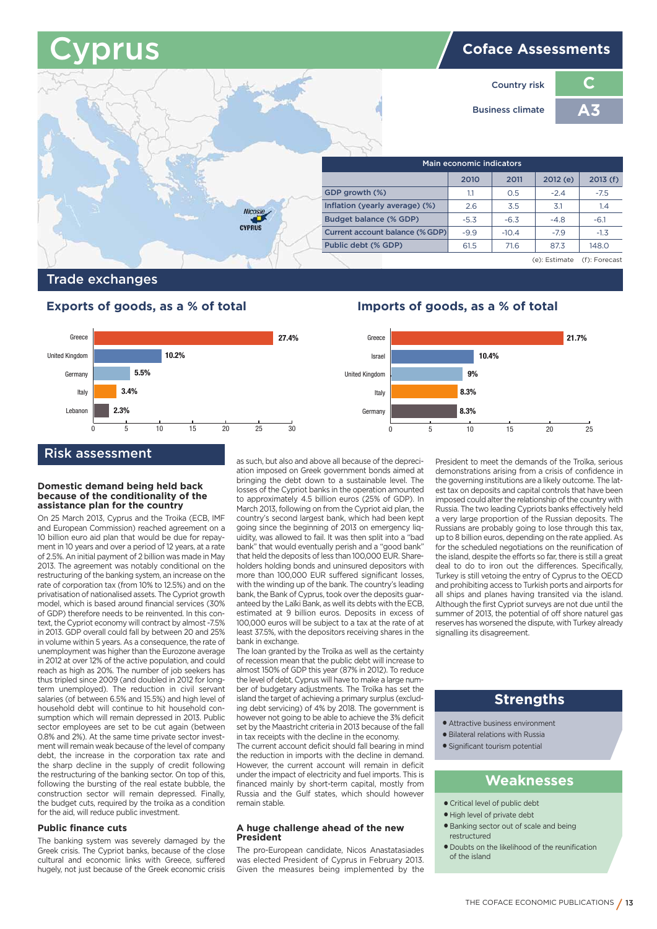# **Cyprus Coface Assessments**

**C Country risk A3 Business climate Main economic indicators 2010 2011 2012 (e) 2013 (f) GDP growth (%)**  $1.1 \quad 0.5 \quad -2.4 \quad -7.5$  **Inflation (yearly average) (%)** 2.6 3.5 3.1 3.1 1.4 **Budget balance (% GDP)**   $-5.3$   $-6.3$   $-4.8$   $-6.1$ **CYPRIIS Current account balance (%GDP)**  $-9.9$   $-10.4$   $-7.9$   $-1.3$ **Public debt (% GDP)** 61.5 71.6 87.3 148.0 (e): Estimate (f): Forecast

# **Trade exchanges**

# **Exports of goods, as a % of total Imports of goods, as a % of total**



# **Risk assessment**

#### **Domestic demand being held back because of the conditionality of the assistance plan for the country**

On 25 March 2013, Cyprus and the Troika (ECB, IMF and European Commission) reached agreement on a 10 billion euro aid plan that would be due for repayment in 10 years and over a period of 12 years, at a rate of 2.5%. An initial payment of 2 billion was made in May 2013. The agreement was notably conditional on the restructuring of the banking system, an increase on the rate of corporation tax (from 10% to 12.5%) and on the privatisation of nationalised assets. The Cypriot growth model, which is based around financial services (30% of GDP) therefore needs to be reinvented. In this context, the Cypriot economy will contract by almost -7.5% in 2013. GDP overall could fall by between 20 and 25% in volume within 5 years. As a consequence, the rate of unemployment was higher than the Eurozone average in 2012 at over 12% of the active population, and could reach as high as 20%. The number of job seekers has thus tripled since 2009 (and doubled in 2012 for longterm unemployed). The reduction in civil servant salaries (of between 6.5% and 15.5%) and high level of household debt will continue to hit household consumption which will remain depressed in 2013. Public sector employees are set to be cut again (between 0.8% and 2%). At the same time private sector investment will remain weak because of the level of company debt, the increase in the corporation tax rate and the sharp decline in the supply of credit following the restructuring of the banking sector. On top of this, following the bursting of the real estate bubble, the construction sector will remain depressed. Finally, the budget cuts, required by the troika as a condition for the aid, will reduce public investment.

## **Public finance cuts**

The banking system was severely damaged by the Greek crisis. The Cypriot banks, because of the close cultural and economic links with Greece, suffered hugely, not just because of the Greek economic crisis as such, but also and above all because of the depreciation imposed on Greek government bonds aimed at bringing the debt down to a sustainable level. The losses of the Cypriot banks in the operation amounted to approximately 4.5 billion euros (25% of GDP). In March 2013, following on from the Cypriot aid plan, the country's second largest bank, which had been kept going since the beginning of 2013 on emergency liquidity, was allowed to fail. It was then split into a "bad bank" that would eventually perish and a "good bank" that held the deposits of less than 100,000 EUR. Shareholders holding bonds and uninsured depositors with more than 100,000 EUR suffered significant losses, with the winding up of the bank. The country's leading bank, the Bank of Cyprus, took over the deposits guaranteed by the Laïki Bank, as well its debts with the ECB, estimated at 9 billion euros. Deposits in excess of 100,000 euros will be subject to a tax at the rate of at least 37.5%, with the depositors receiving shares in the bank in exchange.

The loan granted by the Troïka as well as the certainty of recession mean that the public debt will increase to almost 150% of GDP this year (87% in 2012). To reduce the level of debt, Cyprus will have to make a large number of budgetary adjustments. The Troïka has set the island the target of achieving a primary surplus (excluding debt servicing) of 4% by 2018. The government is however not going to be able to achieve the 3% deficit set by the Maastricht criteria in 2013 because of the fall in tax receipts with the decline in the economy.

The current account deficit should fall bearing in mind the reduction in imports with the decline in demand. However, the current account will remain in deficit under the impact of electricity and fuel imports. This is financed mainly by short-term capital, mostly from Russia and the Gulf states, which should however remain stable.

#### **A huge challenge ahead of the new President**

The pro-European candidate, Nicos Anastatasiades was elected President of Cyprus in February 2013. Given the measures being implemented by the



President to meet the demands of the Troïka, serious demonstrations arising from a crisis of confidence in the governing institutions are a likely outcome. The latest tax on deposits and capital controls that have been imposed could alter the relationship of the country with Russia. The two leading Cypriots banks effectively held a very large proportion of the Russian deposits. The Russians are probably going to lose through this tax, up to 8 billion euros, depending on the rate applied. As for the scheduled negotiations on the reunification of the island, despite the efforts so far, there is still a great deal to do to iron out the differences. Specifically, Turkey is still vetoing the entry of Cyprus to the OECD and prohibiting access to Turkish ports and airports for all ships and planes having transited via the island. Although the first Cypriot surveys are not due until the summer of 2013, the potential of off shore naturel gas reserves has worsened the dispute, with Turkey already signalling its disagreement.

# **Strengths**

- **●** Attractive business environment
- **●** Bilateral relations with Russia
- **●** Significant tourism potential

- **●** Critical level of public debt
- **●** High level of private debt
- **●** Banking sector out of scale and being restructured
- **●** Doubts on the likelihood of the reunification of the island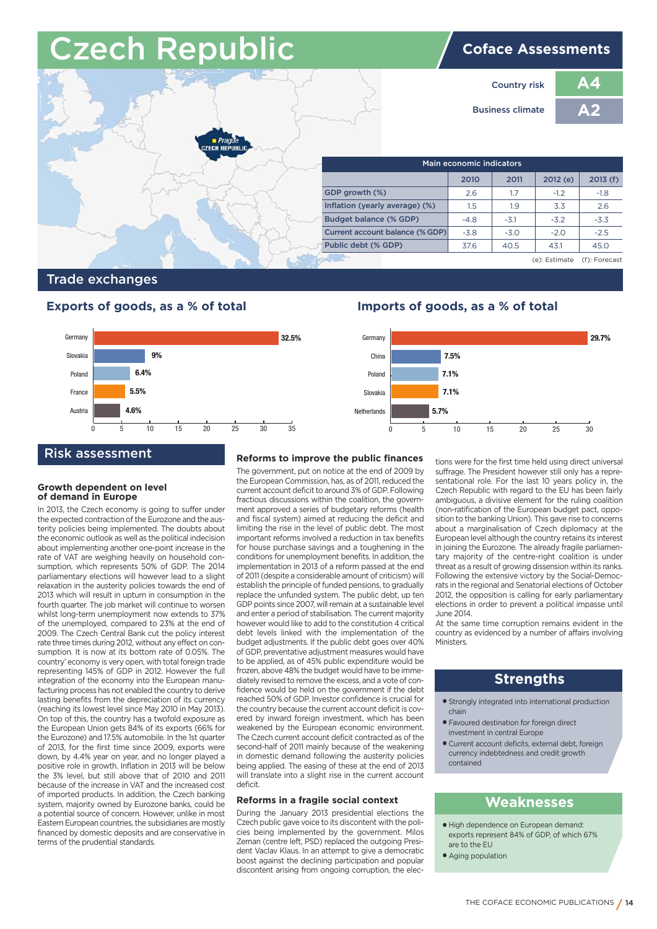# **Czech Republic Coface Assessments**



# **Trade exchanges**

# **Exports of goods, as a % of total Imports of goods, as a % of total**



# **Risk assessment**

### **Growth dependent on level of demand in Europe**

In 2013, the Czech economy is going to suffer under the expected contraction of the Eurozone and the austerity policies being implemented. The doubts about the economic outlook as well as the political indecision about implementing another one-point increase in the rate of VAT are weighing heavily on household consumption, which represents 50% of GDP. The 2014 parliamentary elections will however lead to a slight relaxation in the austerity policies towards the end of 2013 which will result in upturn in consumption in the fourth quarter. The job market will continue to worsen whilst long-term unemployment now extends to 37% of the unemployed, compared to 23% at the end of 2009. The Czech Central Bank cut the policy interest rate three times during 2012, without any effect on consumption. It is now at its bottom rate of 0.05%. The country' economy is very open, with total foreign trade representing 145% of GDP in 2012. However the full integration of the economy into the European manufacturing process has not enabled the country to derive lasting benefits from the depreciation of its currency (reaching its lowest level since May 2010 in May 2013). On top of this, the country has a twofold exposure as the European Union gets 84% of its exports (66% for the Eurozone) and 17.5% automobile. In the 1st quarter of 2013, for the first time since 2009, exports were down, by 4.4% year on year, and no longer played a positive role in growth. Inflation in 2013 will be below the 3% level, but still above that of 2010 and 2011 because of the increase in VAT and the increased cost of imported products. In addition, the Czech banking system, majority owned by Eurozone banks, could be a potential source of concern. However, unlike in most Eastern European countries, the subsidiaries are mostly financed by domestic deposits and are conservative in terms of the prudential standards.

## **Reforms to improve the public finances**

The government, put on notice at the end of 2009 by the European Commission, has, as of 2011, reduced the current account deficit to around 3% of GDP. Following fractious discussions within the coalition, the government approved a series of budgetary reforms (health and fiscal system) aimed at reducing the deficit and limiting the rise in the level of public debt. The most important reforms involved a reduction in tax benefits for house purchase savings and a toughening in the conditions for unemployment benefits. In addition, the implementation in 2013 of a reform passed at the end of 2011 (despite a considerable amount of criticism) will establish the principle of funded pensions, to gradually replace the unfunded system. The public debt, up ten GDP points since 2007, will remain at a sustainable level and enter a period of stabilisation. The current majority however would like to add to the constitution 4 critical debt levels linked with the implementation of the budget adjustments. If the public debt goes over 40% of GDP, preventative adjustment measures would have to be applied, as of 45% public expenditure would be frozen, above 48% the budget would have to be immediately revised to remove the excess, and a vote of confidence would be held on the government if the debt reached 50% of GDP. Investor confidence is crucial for the country because the current account deficit is covered by inward foreign investment, which has been weakened by the European economic environment. The Czech current account deficit contracted as of the second-half of 2011 mainly because of the weakening in domestic demand following the austerity policies being applied. The easing of these at the end of 2013 will translate into a slight rise in the current account deficit.

### **Reforms in a fragile social context**

During the January 2013 presidential elections the Czech public gave voice to its discontent with the policies being implemented by the government. Milos Zeman (centre left, PSD) replaced the outgoing President Vaclav Klaus. In an attempt to give a democratic boost against the declining participation and popular discontent arising from ongoing corruption, the elec-



tions were for the first time held using direct universal suffrage. The President however still only has a representational role. For the last 10 years policy in, the Czech Republic with regard to the EU has been fairly ambiguous, a divisive element for the ruling coalition (non-ratification of the European budget pact, opposition to the banking Union). This gave rise to concerns about a marginalisation of Czech diplomacy at the European level although the country retains its interest in joining the Eurozone. The already fragile parliamentary majority of the centre-right coalition is under threat as a result of growing dissension within its ranks. Following the extensive victory by the Social-Democrats in the regional and Senatorial elections of October 2012, the opposition is calling for early parliamentary elections in order to prevent a political impasse until June 2014.

At the same time corruption remains evident in the country as evidenced by a number of affairs involving **Ministers** 

# **Strengths**

- **●** Strongly integrated into international production chain
- **●** Favoured destination for foreign direct investment in central Europe
- **●** Current account deficits, external debt, foreign currency indebtedness and credit growth contained

- **●** High dependence on European demand: exports represent 84% of GDP, of which 67% are to the EU
- **●** Aging population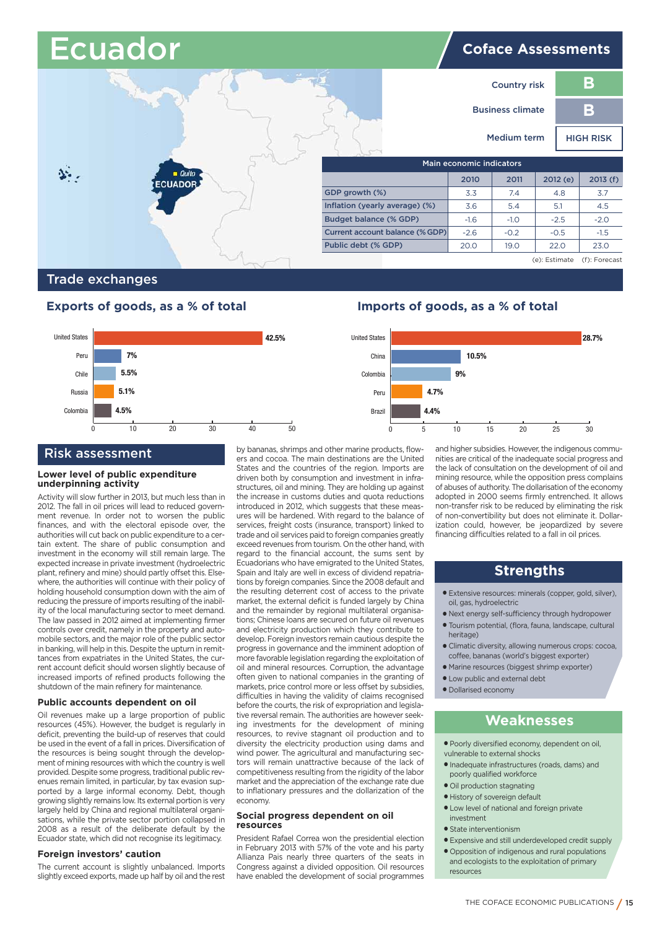|                      | <b>Ecuador</b> |                                 | <b>Coface Assessments</b> |                     |               |                  |  |
|----------------------|----------------|---------------------------------|---------------------------|---------------------|---------------|------------------|--|
|                      |                |                                 |                           | <b>Country risk</b> |               | B                |  |
|                      |                |                                 | <b>Business climate</b>   |                     |               | B                |  |
|                      |                |                                 |                           | Medium term         |               | <b>HIGH RISK</b> |  |
|                      |                |                                 | Main economic indicators  |                     |               |                  |  |
| $\blacksquare$ Quito | <b>ECUADOR</b> |                                 | 2010                      | 2011                | 2012(e)       | 2013(f)          |  |
|                      |                | GDP growth (%)                  | 3.3                       | 7.4                 | 4.8           | 3.7              |  |
|                      |                | Inflation (yearly average) (%)  | 3.6                       | 5.4                 | 5.1           | 4.5              |  |
|                      |                | Budget balance (% GDP)          | $-1.6$                    | $-1.0$              | $-2.5$        | $-2.0$           |  |
|                      |                | Current account balance (% GDP) | $-2.6$                    | $-0.2$              | $-0.5$        | $-1.5$           |  |
|                      |                | Public debt (% GDP)             | 20.0                      | 19.0                | 22.0          | 23.0             |  |
|                      |                |                                 |                           |                     | (e): Estimate | (f): Forecast    |  |

# **Trade exchanges**



# **Risk assessment**

#### **Lower level of public expenditure underpinning activity**

Activity will slow further in 2013, but much less than in 2012. The fall in oil prices will lead to reduced government revenue. In order not to worsen the public finances, and with the electoral episode over, the authorities will cut back on public expenditure to a certain extent. The share of public consumption and investment in the economy will still remain large. The expected increase in private investment (hydroelectric plant, refinery and mine) should partly offset this. Elsewhere, the authorities will continue with their policy of holding household consumption down with the aim of reducing the pressure of imports resulting of the inability of the local manufacturing sector to meet demand. The law passed in 2012 aimed at implementing firmer controls over credit, namely in the property and automobile sectors, and the major role of the public sector in banking, will help in this. Despite the upturn in remittances from expatriates in the United States, the current account deficit should worsen slightly because of increased imports of refined products following the shutdown of the main refinery for maintenance.

#### **Public accounts dependent on oil**

Oil revenues make up a large proportion of public resources (45%). However, the budget is regularly in deficit, preventing the build-up of reserves that could be used in the event of a fall in prices. Diversification of the resources is being sought through the development of mining resources with which the country is well provided. Despite some progress, traditional public revenues remain limited, in particular, by tax evasion supported by a large informal economy. Debt, though growing slightly remains low. Its external portion is very largely held by China and regional multilateral organisations, while the private sector portion collapsed in 2008 as a result of the deliberate default by the Ecuador state, which did not recognise its legitimacy.

#### **Foreign investors' caution**

The current account is slightly unbalanced. Imports slightly exceed exports, made up half by oil and the rest by bananas, shrimps and other marine products, flowers and cocoa. The main destinations are the United States and the countries of the region. Imports are driven both by consumption and investment in infrastructures, oil and mining. They are holding up against the increase in customs duties and quota reductions introduced in 2012, which suggests that these measures will be hardened. With regard to the balance of services, freight costs (insurance, transport) linked to trade and oil services paid to foreign companies greatly exceed revenues from tourism. On the other hand, with regard to the financial account, the sums sent by Ecuadorians who have emigrated to the United States, Spain and Italy are well in excess of dividend repatriations by foreign companies. Since the 2008 default and the resulting deterrent cost of access to the private market, the external deficit is funded largely by China and the remainder by regional multilateral organisations; Chinese loans are secured on future oil revenues and electricity production which they contribute to develop. Foreign investors remain cautious despite the progress in governance and the imminent adoption of more favorable legislation regarding the exploitation of oil and mineral resources. Corruption, the advantage often given to national companies in the granting of markets, price control more or less offset by subsidies, difficulties in having the validity of claims recognised before the courts, the risk of expropriation and legislative reversal remain. The authorities are however seeking investments for the development of mining resources, to revive stagnant oil production and to diversity the electricity production using dams and wind power. The agricultural and manufacturing sectors will remain unattractive because of the lack of competitiveness resulting from the rigidity of the labor market and the appreciation of the exchange rate due to inflationary pressures and the dollarization of the economy.

#### **Social progress dependent on oil resources**

President Rafael Correa won the presidential election in February 2013 with 57% of the vote and his party Allianza Pais nearly three quarters of the seats in Congress against a divided opposition. Oil resources have enabled the development of social programmes

# **Exports of goods, as a % of total Imports of goods, as a % of total**



and higher subsidies. However, the indigenous communities are critical of the inadequate social progress and the lack of consultation on the development of oil and mining resource, while the opposition press complains of abuses of authority. The dollarisation of the economy adopted in 2000 seems firmly entrenched. It allows non-transfer risk to be reduced by eliminating the risk of non-convertibility but does not eliminate it. Dollarization could, however, be jeopardized by severe financing difficulties related to a fall in oil prices.

# **Strengths**

- **●** Extensive resources: minerals (copper, gold, silver), oil, gas, hydroelectric
- **●** Next energy self-sufficiency through hydropower
- **●** Tourism potential, (flora, fauna, landscape, cultural heritage)
- **●** Climatic diversity, allowing numerous crops: cocoa, coffee, bananas (world's biggest exporter)
- **●** Marine resources (biggest shrimp exporter)
- **●** Low public and external debt
- **●** Dollarised economy

- **●** Poorly diversified economy, dependent on oil, vulnerable to external shocks
- **●** Inadequate infrastructures (roads, dams) and poorly qualified workforce
- **●** Oil production stagnating
- **●** History of sovereign default
- **●** Low level of national and foreign private investment
- **●** State interventionism
- **●** Expensive and still underdeveloped credit supply
- **●** Opposition of indigenous and rural populations and ecologists to the exploitation of primary resources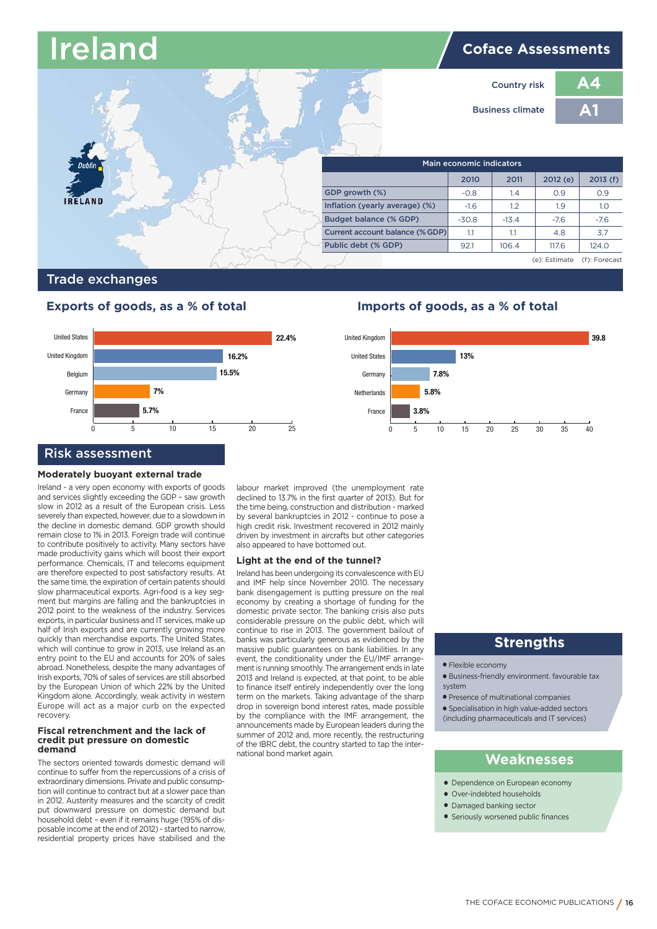# **Coface Assessments Ireland**

**A4 A1**



# **Trade exchanges**

# **Exports of goods, as a % of total Imports of goods, as a % of total**



### **Moderately buoyant external trade**

Ireland - a very open economy with exports of goods and services slightly exceeding the GDP – saw growth slow in 2012 as a result of the European crisis. Less severely than expected, however, due to a slowdown in the decline in domestic demand. GDP growth should remain close to 1% in 2013. Foreign trade will continue to contribute positively to activity. Many sectors have made productivity gains which will boost their export performance. Chemicals, IT and telecoms equipment are therefore expected to post satisfactory results. At the same time, the expiration of certain patents should slow pharmaceutical exports. Agri-food is a key segment but margins are falling and the bankruptcies in 2012 point to the weakness of the industry. Services exports, in particular business and IT services, make up half of Irish exports and are currently growing more quickly than merchandise exports. The United States, which will continue to grow in 2013, use Ireland as an entry point to the EU and accounts for 20% of sales abroad. Nonetheless, despite the many advantages of Irish exports, 70% of sales of services are still absorbed by the European Union of which 22% by the United Kingdom alone. Accordingly, weak activity in western Europe will act as a major curb on the expected recovery.

#### **Fiscal retrenchment and the lack of credit put pressure on domestic demand**

The sectors oriented towards domestic demand will continue to suffer from the repercussions of a crisis of extraordinary dimensions. Private and public consumption will continue to contract but at a slower pace than in 2012. Austerity measures and the scarcity of credit put downward pressure on domestic demand but household debt – even if it remains huge (195% of disposable income at the end of 2012) - started to narrow, residential property prices have stabilised and the labour market improved (the unemployment rate declined to 13.7% in the first quarter of 2013). But for the time being, construction and distribution - marked by several bankruptcies in 2012 - continue to pose a high credit risk. Investment recovered in 2012 mainly driven by investment in aircrafts but other categories also appeared to have bottomed out

### **Light at the end of the tunnel?**

Ireland has been undergoing its convalescence with EU and IMF help since November 2010. The necessary bank disengagement is putting pressure on the real economy by creating a shortage of funding for the domestic private sector. The banking crisis also puts considerable pressure on the public debt, which will continue to rise in 2013. The government bailout of banks was particularly generous as evidenced by the massive public guarantees on bank liabilities. In any event, the conditionality under the EU/IMF arrangement is running smoothly. The arrangement ends in late 2013 and Ireland is expected, at that point, to be able to finance itself entirely independently over the long term on the markets. Taking advantage of the sharp drop in sovereign bond interest rates, made possible by the compliance with the IMF arrangement, the announcements made by European leaders during the summer of 2012 and, more recently, the restructuring of the IBRC debt, the country started to tap the international bond market again.



# **Strengths**

- **●** Flexible economy
- **●** Business-friendly environment. favourable tax system
- **●** Presence of multinational companies
- **●** Specialisation in high value-added sectors (including pharmaceuticals and IT services)

- **●** Dependence on European economy
- **●** Over-indebted households
- **●** Damaged banking sector
- **●** Seriously worsened public finances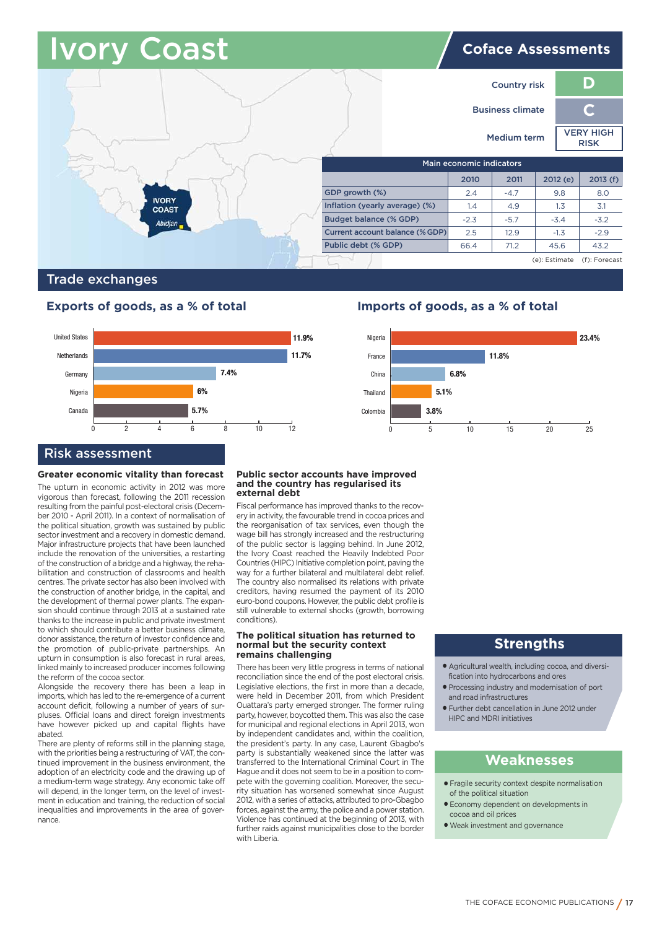# **Orv Coast IV Coast IV Coface Assessments**



# **Trade exchanges**



# **Risk assessment**

#### **Greater economic vitality than forecast**

The upturn in economic activity in 2012 was more vigorous than forecast, following the 2011 recession resulting from the painful post-electoral crisis (December 2010 - April 2011). In a context of normalisation of the political situation, growth was sustained by public sector investment and a recovery in domestic demand. Major infrastructure projects that have been launched include the renovation of the universities, a restarting of the construction of a bridge and a highway, the rehabilitation and construction of classrooms and health centres. The private sector has also been involved with the construction of another bridge, in the capital, and the development of thermal power plants. The expansion should continue through 2013 at a sustained rate thanks to the increase in public and private investment to which should contribute a better business climate, donor assistance, the return of investor confidence and the promotion of public-private partnerships. An upturn in consumption is also forecast in rural areas, linked mainly to increased producer incomes following the reform of the cocoa sector.

Alongside the recovery there has been a leap in imports, which has led to the re-emergence of a current account deficit, following a number of years of surpluses. Official loans and direct foreign investments have however picked up and capital flights have abated.

There are plenty of reforms still in the planning stage, with the priorities being a restructuring of VAT, the continued improvement in the business environment, the adoption of an electricity code and the drawing up of a medium-term wage strategy. Any economic take off will depend, in the longer term, on the level of investment in education and training, the reduction of social inequalities and improvements in the area of governance.

#### **Public sector accounts have improved and the country has regularised its external debt**

Fiscal performance has improved thanks to the recovery in activity, the favourable trend in cocoa prices and the reorganisation of tax services, even though the wage bill has strongly increased and the restructuring of the public sector is lagging behind. In June 2012, the Ivory Coast reached the Heavily Indebted Poor Countries (HIPC) Initiative completion point, paving the way for a further bilateral and multilateral debt relief. The country also normalised its relations with private creditors, having resumed the payment of its 2010 euro-bond coupons. However, the public debt profile is still vulnerable to external shocks (growth, borrowing conditions).

#### **The political situation has returned to normal but the security context remains challenging**

There has been very little progress in terms of national reconciliation since the end of the post electoral crisis. Legislative elections, the first in more than a decade, were held in December 2011, from which President Ouattara's party emerged stronger. The former ruling party, however, boycotted them. This was also the case for municipal and regional elections in April 2013, won by independent candidates and, within the coalition, the president's party. In any case, Laurent Gbagbo's party is substantially weakened since the latter was transferred to the International Criminal Court in The Hague and it does not seem to be in a position to compete with the governing coalition. Moreover, the security situation has worsened somewhat since August 2012, with a series of attacks, attributed to pro-Gbagbo forces, against the army, the police and a power station. Violence has continued at the beginning of 2013, with further raids against municipalities close to the border with Liberia.

# **Exports of goods, as a % of total Imports of goods, as a % of total**



# **Strengths**

- **●** Agricultural wealth, including cocoa, and diversification into hydrocarbons and ores
- **●** Processing industry and modernisation of port and road infrastructures
- **●** Further debt cancellation in June 2012 under HIPC and MDRI initiatives

- **●** Fragile security context despite normalisation of the political situation
- **●** Economy dependent on developments in cocoa and oil prices
- **●** Weak investment and governance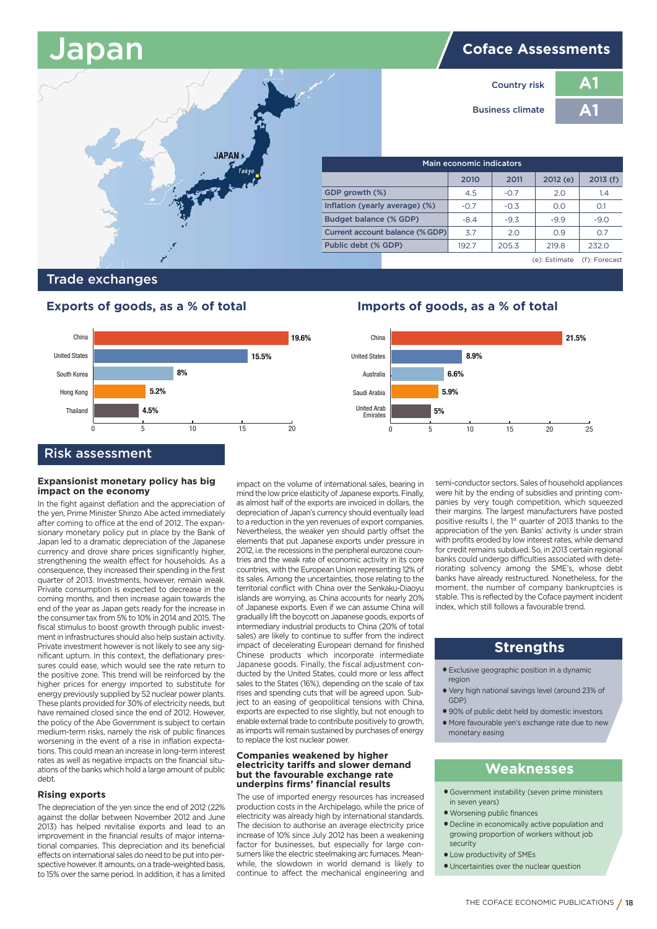# **Japan Coface Assessments**

 **2010 2011 2012 (e) 2013 (f)**

4.5  $-0.7$  2.0 1.4  $-0.7$   $-0.3$  0.0 0.1  $-8.4$   $-9.3$   $-9.9$   $-9.0$  3.7 2.0 0.9 0.7  $1927$  2053 2198 2320



**Country risk Business climate** **A1 A1**

(e): Estimate (f): Forecast

# **Trade exchanges**



# **Expansionist monetary policy has big impact on the economy**

In the fight against deflation and the appreciation of the yen, Prime Minister Shinzo Abe acted immediately after coming to office at the end of 2012. The expansionary monetary policy put in place by the Bank of Japan led to a dramatic depreciation of the Japanese currency and drove share prices significantly higher, strengthening the wealth effect for households. As a consequence, they increased their spending in the first quarter of 2013. Investments, however, remain weak. Private consumption is expected to decrease in the coming months, and then increase again towards the end of the year as Japan gets ready for the increase in the consumer tax from 5% to 10% in 2014 and 2015. The fiscal stimulus to boost growth through public investment in infrastructures should also help sustain activity. Private investment however is not likely to see any significant upturn. In this context, the deflationary pressures could ease, which would see the rate return to the positive zone. This trend will be reinforced by the higher prices for energy imported to substitute for energy previously supplied by 52 nuclear power plants. These plants provided for 30% of electricity needs, but have remained closed since the end of 2012. However, the policy of the Abe Government is subject to certain medium-term risks, namely the risk of public finances worsening in the event of a rise in inflation expectations. This could mean an increase in long-term interest rates as well as negative impacts on the financial situations of the banks which hold a large amount of public debt.

#### **Rising exports**

The depreciation of the yen since the end of 2012 (22% against the dollar between November 2012 and June 2013) has helped revitalise exports and lead to an improvement in the financial results of major international companies. This depreciation and its beneficial effects on international sales do need to be put into perspective however. It amounts, on a trade-weighted basis, to 15% over the same period. In addition, it has a limited

impact on the volume of international sales, bearing in mind the low price elasticity of Japanese exports. Finally, as almost half of the exports are invoiced in dollars, the depreciation of Japan's currency should eventually lead to a reduction in the yen revenues of export companies. Nevertheless, the weaker yen should partly offset the elements that put Japanese exports under pressure in 2012, i.e. the recessions in the peripheral eurozone countries and the weak rate of economic activity in its core countries, with the European Union representing 12% of its sales. Among the uncertainties, those relating to the territorial conflict with China over the Senkaku-Diaoyu islands are worrying, as China accounts for nearly 20% of Japanese exports. Even if we can assume China will gradually lift the boycott on Japanese goods, exports of intermediary industrial products to China (20% of total sales) are likely to continue to suffer from the indirect impact of decelerating European demand for finished Chinese products which incorporate intermediate Japanese goods. Finally, the fiscal adjustment conducted by the United States, could more or less affect sales to the States (16%), depending on the scale of tax rises and spending cuts that will be agreed upon. Subject to an easing of geopolitical tensions with China, exports are expected to rise slightly, but not enough to enable external trade to contribute positively to growth, as imports will remain sustained by purchases of energy to replace the lost nuclear power.

#### **Companies weakened by higher electricity tariffs and slower demand but the favourable exchange rate underpins firms' financial results**

The use of imported energy resources has increased production costs in the Archipelago, while the price of electricity was already high by international standards. The decision to authorise an average electricity price increase of 10% since July 2012 has been a weakening factor for businesses, but especially for large consumers like the electric steelmaking arc furnaces. Meanwhile, the slowdown in world demand is likely to continue to affect the mechanical engineering and

# **Exports of goods, as a % of total Imports of goods, as a % of total**



semi-conductor sectors. Sales of household appliances were hit by the ending of subsidies and printing companies by very tough competition, which squeezed their margins. The largest manufacturers have posted positive results I, the  $1$ <sup>st</sup> quarter of 2013 thanks to the appreciation of the yen. Banks' activity is under strain with profits eroded by low interest rates, while demand for credit remains subdued. So, in 2013 certain regional banks could undergo difficulties associated with deteriorating solvency among the SME's, whose debt banks have already restructured. Nonetheless, for the moment, the number of company bankruptcies is stable. This is reflected by the Coface payment incident index, which still follows a favourable trend.

# **Strengths**

- **●** Exclusive geographic position in a dynamic region
- **●** Very high national savings level (around 23% of GDP)
- **●** 90% of public debt held by domestic investors
- **●** More favourable yen's exchange rate due to new monetary easing

- **●** Government instability (seven prime ministers in seven years)
- **●** Worsening public finances
- **●** Decline in economically active population and growing proportion of workers without job security
- **●** Low productivity of SMEs
- **●** Uncertainties over the nuclear question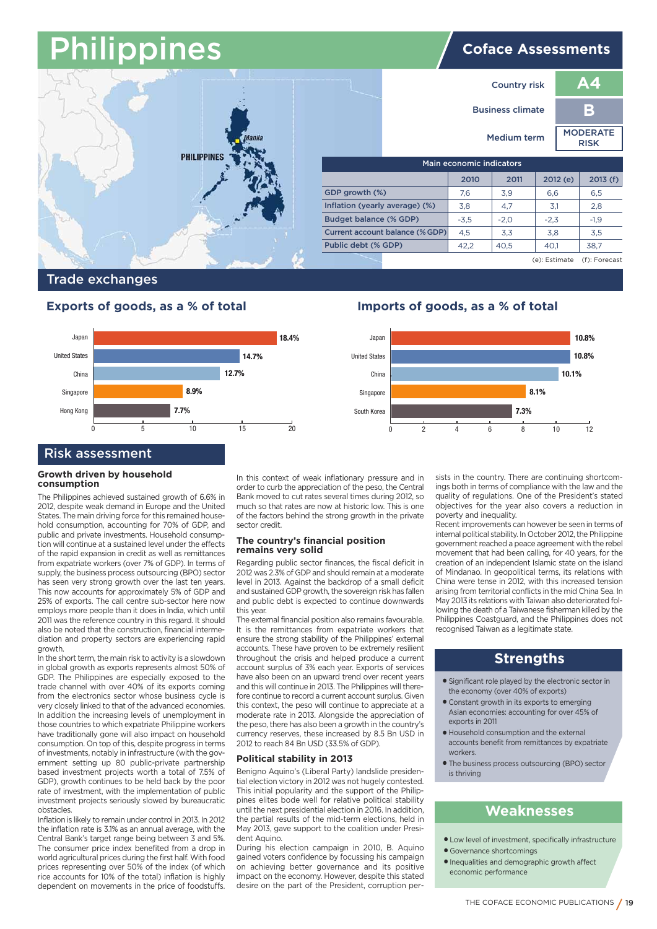# **Philippines Coface Assessments**



## **Trade exchanges**

# **Exports of goods, as a % of total Imports of goods, as a % of total**



# **Risk assessment**

#### **Growth driven by household consumption**

The Philippines achieved sustained growth of 6.6% in 2012, despite weak demand in Europe and the United States. The main driving force for this remained household consumption, accounting for 70% of GDP, and public and private investments. Household consumption will continue at a sustained level under the effects of the rapid expansion in credit as well as remittances from expatriate workers (over 7% of GDP). In terms of supply, the business process outsourcing (BPO) sector has seen very strong growth over the last ten years. This now accounts for approximately 5% of GDP and 25% of exports. The call centre sub-sector here now employs more people than it does in India, which until 2011 was the reference country in this regard. It should also be noted that the construction, financial intermediation and property sectors are experiencing rapid growth.

In the short term, the main risk to activity is a slowdown in global growth as exports represents almost 50% of GDP. The Philippines are especially exposed to the trade channel with over 40% of its exports coming from the electronics sector whose business cycle is very closely linked to that of the advanced economies. In addition the increasing levels of unemployment in those countries to which expatriate Philippine workers have traditionally gone will also impact on household consumption. On top of this, despite progress in terms of investments, notably in infrastructure (with the government setting up 80 public-private partnership based investment projects worth a total of 7.5% of GDP), growth continues to be held back by the poor rate of investment, with the implementation of public investment projects seriously slowed by bureaucratic obstacles.

Inflation is likely to remain under control in 2013. In 2012 the inflation rate is 3.1% as an annual average, with the Central Bank's target range being between 3 and 5%. The consumer price index benefited from a drop in world agricultural prices during the first half. With food prices representing over 50% of the index (of which rice accounts for 10% of the total) inflation is highly dependent on movements in the price of foodstuffs.

In this context of weak inflationary pressure and in order to curb the appreciation of the peso, the Central Bank moved to cut rates several times during 2012, so much so that rates are now at historic low. This is one of the factors behind the strong growth in the private sector credit.

#### **The country's financial position remains very solid**

Regarding public sector finances, the fiscal deficit in 2012 was 2.3% of GDP and should remain at a moderate level in 2013. Against the backdrop of a small deficit and sustained GDP growth, the sovereign risk has fallen and public debt is expected to continue downwards this year.

The external financial position also remains favourable. It is the remittances from expatriate workers that ensure the strong stability of the Philippines' external accounts. These have proven to be extremely resilient throughout the crisis and helped produce a current account surplus of 3% each year. Exports of services have also been on an upward trend over recent years and this will continue in 2013. The Philippines will therefore continue to record a current account surplus. Given this context, the peso will continue to appreciate at a moderate rate in 2013. Alongside the appreciation of the peso, there has also been a growth in the country's currency reserves, these increased by 8.5 Bn USD in 2012 to reach 84 Bn USD (33.5% of GDP).

#### **Political stability in 2013**

Benigno Aquino's (Liberal Party) landslide presidential election victory in 2012 was not hugely contested. This initial popularity and the support of the Philippines elites bode well for relative political stability until the next presidential election in 2016. In addition, the partial results of the mid-term elections, held in May 2013, gave support to the coalition under President Aquino.

During his election campaign in 2010, B. Aquino gained voters confidence by focussing his campaign on achieving better governance and its positive impact on the economy. However, despite this stated desire on the part of the President, corruption per-



sists in the country. There are continuing shortcomings both in terms of compliance with the law and the quality of regulations. One of the President's stated objectives for the year also covers a reduction in poverty and inequality.

Recent improvements can however be seen in terms of internal political stability. In October 2012, the Philippine government reached a peace agreement with the rebel movement that had been calling, for 40 years, for the creation of an independent Islamic state on the island of Mindanao. In geopolitical terms, its relations with China were tense in 2012, with this increased tension arising from territorial conflicts in the mid China Sea. In May 2013 its relations with Taiwan also deteriorated following the death of a Taiwanese fisherman killed by the Philippines Coastguard, and the Philippines does not recognised Taiwan as a legitimate state.

# **Strengths**

- **●** Significant role played by the electronic sector in the economy (over 40% of exports)
- **●** Constant growth in its exports to emerging Asian economies: accounting for over 45% of exports in 2011
- **●** Household consumption and the external accounts benefit from remittances by expatriate workers.
- **●** The business process outsourcing (BPO) sector is thriving

- **●** Low level of investment, specifically infrastructure **●** Governance shortcomings
- 
- **●** Inequalities and demographic growth affect economic performance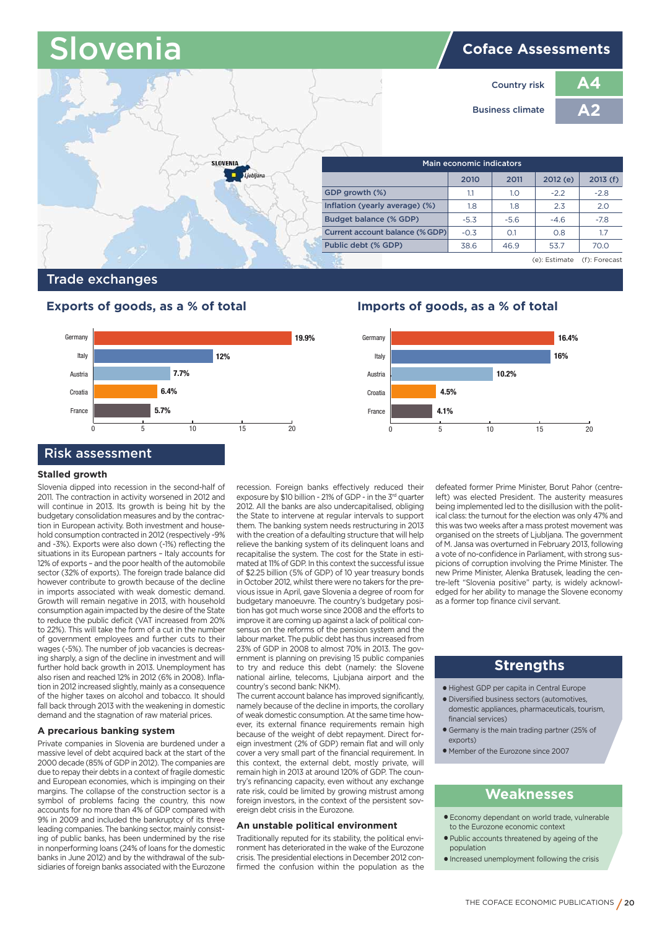# **OVENIA Coface Assessments**



# **Trade exchanges**



### **Stalled growth**

Slovenia dipped into recession in the second-half of 2011. The contraction in activity worsened in 2012 and will continue in 2013. Its growth is being hit by the budgetary consolidation measures and by the contraction in European activity. Both investment and household consumption contracted in 2012 (respectively -9% and -3%). Exports were also down (-1%) reflecting the situations in its European partners – Italy accounts for 12% of exports – and the poor health of the automobile sector (32% of exports). The foreign trade balance did however contribute to growth because of the decline in imports associated with weak domestic demand. Growth will remain negative in 2013, with household consumption again impacted by the desire of the State to reduce the public deficit (VAT increased from 20% to 22%). This will take the form of a cut in the number of government employees and further cuts to their wages (-5%). The number of job vacancies is decreasing sharply, a sign of the decline in investment and will further hold back growth in 2013. Unemployment has also risen and reached 12% in 2012 (6% in 2008). Inflation in 2012 increased slightly, mainly as a consequence of the higher taxes on alcohol and tobacco. It should fall back through 2013 with the weakening in domestic demand and the stagnation of raw material prices.

### **A precarious banking system**

Private companies in Slovenia are burdened under a massive level of debt acquired back at the start of the 2000 decade (85% of GDP in 2012). The companies are due to repay their debts in a context of fragile domestic and European economies, which is impinging on their margins. The collapse of the construction sector is a symbol of problems facing the country, this now accounts for no more than 4% of GDP compared with 9% in 2009 and included the bankruptcy of its three leading companies. The banking sector, mainly consisting of public banks, has been undermined by the rise in nonperforming loans (24% of loans for the domestic banks in June 2012) and by the withdrawal of the subsidiaries of foreign banks associated with the Eurozone

recession. Foreign banks effectively reduced their exposure by \$10 billion - 21% of GDP - in the 3<sup>rd</sup> quarter 2012. All the banks are also undercapitalised, obliging the State to intervene at regular intervals to support them. The banking system needs restructuring in 2013 with the creation of a defaulting structure that will help relieve the banking system of its delinquent loans and recapitalise the system. The cost for the State in estimated at 11% of GDP. In this context the successful issue of \$2.25 billion (5% of GDP) of 10 year treasury bonds in October 2012, whilst there were no takers for the previous issue in April, gave Slovenia a degree of room for budgetary manoeuvre. The country's budgetary position has got much worse since 2008 and the efforts to improve it are coming up against a lack of political consensus on the reforms of the pension system and the labour market. The public debt has thus increased from 23% of GDP in 2008 to almost 70% in 2013. The government is planning on prevising 15 public companies to try and reduce this debt (namely: the Slovene national airline, telecoms, Ljubjana airport and the country's second bank: NKM).

The current account balance has improved significantly, namely because of the decline in imports, the corollary of weak domestic consumption. At the same time however, its external finance requirements remain high because of the weight of debt repayment. Direct foreign investment (2% of GDP) remain flat and will only cover a very small part of the financial requirement. In this context, the external debt, mostly private, will remain high in 2013 at around 120% of GDP. The country's refinancing capacity, even without any exchange rate risk, could be limited by growing mistrust among foreign investors, in the context of the persistent sovereign debt crisis in the Eurozone.

#### **An unstable political environment**

Traditionally reputed for its stability, the political environment has deteriorated in the wake of the Eurozone crisis. The presidential elections in December 2012 confirmed the confusion within the population as the

# **Exports of goods, as a % of total Imports of goods, as a % of total**



defeated former Prime Minister, Borut Pahor (centreleft) was elected President. The austerity measures being implemented led to the disillusion with the political class: the turnout for the election was only 47% and this was two weeks after a mass protest movement was organised on the streets of Ljubljana. The government of M. Jansa was overturned in February 2013, following a vote of no-confidence in Parliament, with strong suspicions of corruption involving the Prime Minister. The new Prime Minister, Alenka Bratusek, leading the centre-left "Slovenia positive" party, is widely acknowledged for her ability to manage the Slovene economy as a former top finance civil servant.

# **Strengths**

- **●** Highest GDP per capita in Central Europe
- **●** Diversified business sectors (automotives, domestic appliances, pharmaceuticals, tourism, financial services)
- **●** Germany is the main trading partner (25% of exports)
- **●** Member of the Eurozone since 2007

- **●** Economy dependant on world trade, vulnerable to the Eurozone economic context
- **●** Public accounts threatened by ageing of the population
- **●** Increased unemployment following the crisis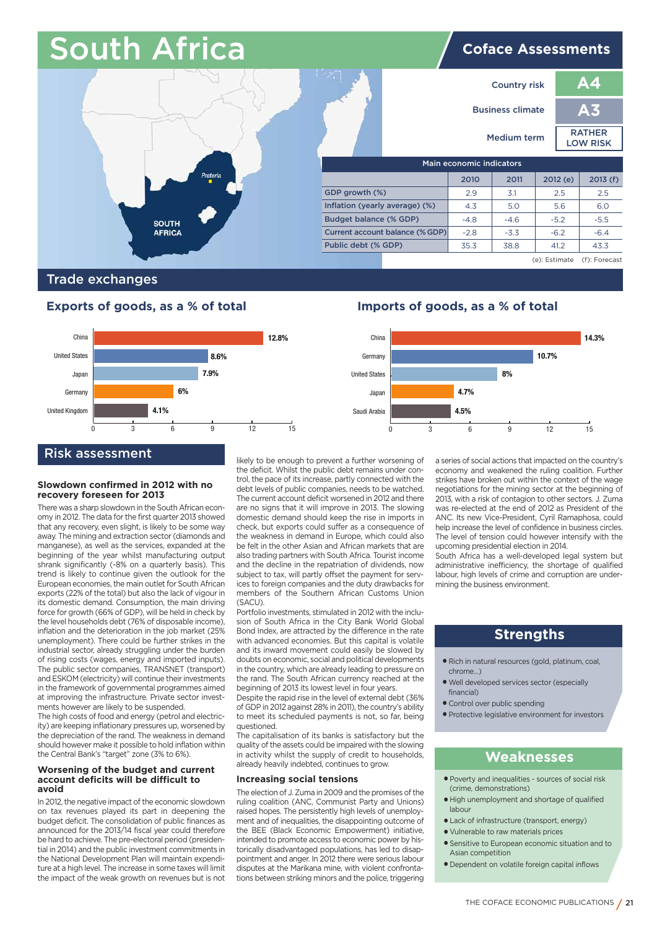# South Africa **Communist Africal**



# **Trade exchanges**

# **Exports of goods, as a % of total Imports of goods, as a % of total**



#### **Slowdown confirmed in 2012 with no recovery foreseen for 2013**

There was a sharp slowdown in the South African economy in 2012. The data for the first quarter 2013 showed that any recovery, even slight, is likely to be some way away. The mining and extraction sector (diamonds and manganese), as well as the services, expanded at the beginning of the year whilst manufacturing output shrank significantly (-8% on a quarterly basis). This trend is likely to continue given the outlook for the European economies, the main outlet for South African exports (22% of the total) but also the lack of vigour in its domestic demand. Consumption, the main driving force for growth (66% of GDP), will be held in check by the level households debt (76% of disposable income), inflation and the deterioration in the job market (25% unemployment). There could be further strikes in the industrial sector, already struggling under the burden of rising costs (wages, energy and imported inputs). The public sector companies, TRANSNET (transport) and ESKOM (electricity) will continue their investments in the framework of governmental programmes aimed at improving the infrastructure. Private sector investments however are likely to be suspended.

The high costs of food and energy (petrol and electricity) are keeping inflationary pressures up, worsened by the depreciation of the rand. The weakness in demand should however make it possible to hold inflation within the Central Bank's "target" zone (3% to 6%).

#### **Worsening of the budget and current account deficits will be difficult to avoid**

In 2012, the negative impact of the economic slowdown on tax revenues played its part in deepening the budget deficit. The consolidation of public finances as announced for the 2013/14 fiscal year could therefore be hard to achieve. The pre-electoral period (presidential in 2014) and the public investment commitments in the National Development Plan will maintain expenditure at a high level. The increase in some taxes will limit the impact of the weak growth on revenues but is not likely to be enough to prevent a further worsening of the deficit. Whilst the public debt remains under control, the pace of its increase, partly connected with the debt levels of public companies, needs to be watched. The current account deficit worsened in 2012 and there are no signs that it will improve in 2013. The slowing domestic demand should keep the rise in imports in check, but exports could suffer as a consequence of the weakness in demand in Europe, which could also be felt in the other Asian and African markets that are also trading partners with South Africa. Tourist income and the decline in the repatriation of dividends, now subject to tax, will partly offset the payment for services to foreign companies and the duty drawbacks for members of the Southern African Customs Union (SACU).

Portfolio investments, stimulated in 2012 with the inclusion of South Africa in the City Bank World Global Bond Index, are attracted by the difference in the rate with advanced economies. But this capital is volatile and its inward movement could easily be slowed by doubts on economic, social and political developments in the country, which are already leading to pressure on the rand. The South African currency reached at the beginning of 2013 its lowest level in four years.

Despite the rapid rise in the level of external debt (36% of GDP in 2012 against 28% in 2011), the country's ability to meet its scheduled payments is not, so far, being questioned.

The capitalisation of its banks is satisfactory but the quality of the assets could be impaired with the slowing in activity whilst the supply of credit to households, already heavily indebted, continues to grow.

#### **Increasing social tensions**

The election of J. Zuma in 2009 and the promises of the ruling coalition (ANC, Communist Party and Unions) raised hopes. The persistently high levels of unemployment and of inequalities, the disappointing outcome of the BEE (Black Economic Empowerment) initiative, intended to promote access to economic power by historically disadvantaged populations, has led to disappointment and anger. In 2012 there were serious labour disputes at the Marikana mine, with violent confrontations between striking minors and the police, triggering



a series of social actions that impacted on the country's economy and weakened the ruling coalition. Further strikes have broken out within the context of the wage negotiations for the mining sector at the beginning of 2013, with a risk of contagion to other sectors. J. Zuma was re-elected at the end of 2012 as President of the ANC. Its new Vice-President, Cyril Ramaphosa, could help increase the level of confidence in business circles. The level of tension could however intensify with the upcoming presidential election in 2014.

South Africa has a well-developed legal system but administrative inefficiency, the shortage of qualified labour, high levels of crime and corruption are undermining the business environment.

# **Strengths**

- **●** Rich in natural resources (gold, platinum, coal, chrome…)
- **●** Well developed services sector (especially financial)
- **●** Control over public spending
- **●** Protective legislative environment for investors

- **●** Poverty and inequalities sources of social risk (crime, demonstrations)
- **●** High unemployment and shortage of qualified labour
- **●** Lack of infrastructure (transport, energy)
- **●** Vulnerable to raw materials prices
	- **●** Sensitive to European economic situation and to Asian competition
	- **●** Dependent on volatile foreign capital inflows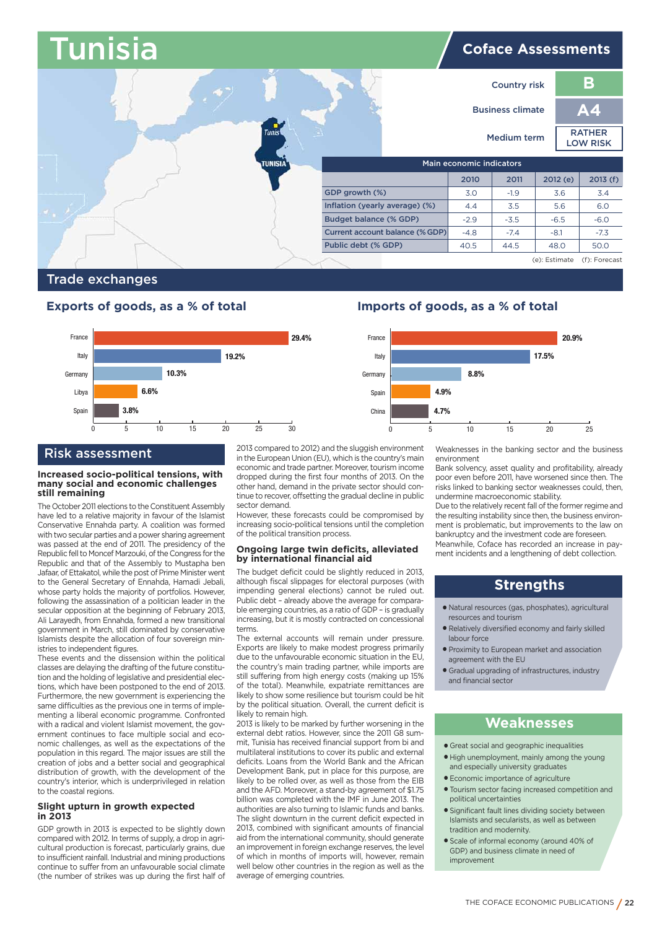### **Tunisia Coface Assessments Inflation (yearly average) (%)** I **Budget balance (% GDP) Main economic indicators 2010 2011 2012 (e) 2013 (f) GDP growth (%) Current account balance (%GDP) Public debt (% GDP)**  $3.0$  -1.9  $3.6$  3.4 4.4 3.5 5.6 6.0  $-2.9$   $-3.5$   $-6.5$   $-6.0$  $-4.8$   $-7.4$   $-8.1$   $-7.3$ 40.5 44.5 480 500 (e): Estimate (f): Forecast **B A4 Country risk Business climate Medium term RATHER LOW RISK**

# **Trade exchanges**



# **Risk assessment**

#### **Increased socio-political tensions, with many social and economic challenges still remaining**  I

The October 2011 elections to the Constituent Assembly have led to a relative majority in favour of the Islamist Conservative Ennahda party. A coalition was formed with two secular parties and a power sharing agreement was passed at the end of 2011. The presidency of the Republic fell to Moncef Marzouki, of the Congress for the Republic and that of the Assembly to Mustapha ben Jafaar, of Ettakatol, while the post of Prime Minister went to the General Secretary of Ennahda, Hamadi Jebali, whose party holds the majority of portfolios. However, following the assassination of a politician leader in the secular opposition at the beginning of February 2013. Ali Larayedh, from Ennahda, formed a new transitional government in March, still dominated by conservative Islamists despite the allocation of four sovereign ministries to independent figures.

These events and the dissension within the political classes are delaying the drafting of the future constitution and the holding of legislative and presidential elections, which have been postponed to the end of 2013. Furthermore, the new government is experiencing the same difficulties as the previous one in terms of implementing a liberal economic programme. Confronted with a radical and violent Islamist movement, the government continues to face multiple social and economic challenges, as well as the expectations of the population in this regard. The major issues are still the creation of jobs and a better social and geographical distribution of growth, with the development of the country's interior, which is underprivileged in relation to the coastal regions.

### **Slight upturn in growth expected in 2013**

GDP growth in 2013 is expected to be slightly down compared with 2012. In terms of supply, a drop in agricultural production is forecast, particularly grains, due to insufficient rainfall. Industrial and mining productions continue to suffer from an unfavourable social climate (the number of strikes was up during the first half of 2013 compared to 2012) and the sluggish environment in the European Union (EU), which is the country's main economic and trade partner. Moreover, tourism income dropped during the first four months of 2013. On the other hand, demand in the private sector should continue to recover, offsetting the gradual decline in public sector demand.

However, these forecasts could be compromised by increasing socio-political tensions until the completion of the political transition process.

#### **Ongoing large twin deficits, alleviated by international financial aid**

The budget deficit could be slightly reduced in 2013, although fiscal slippages for electoral purposes (with impending general elections) cannot be ruled out. Public debt – already above the average for comparable emerging countries, as a ratio of GDP – is gradually increasing, but it is mostly contracted on concessional terms.

The external accounts will remain under pressure. Exports are likely to make modest progress primarily due to the unfavourable economic situation in the EU, the country's main trading partner, while imports are still suffering from high energy costs (making up 15% of the total). Meanwhile, expatriate remittances are likely to show some resilience but tourism could be hit by the political situation. Overall, the current deficit is likely to remain high.

2013 is likely to be marked by further worsening in the external debt ratios. However, since the 2011 G8 summit, Tunisia has received financial support from bi and multilateral institutions to cover its public and external deficits. Loans from the World Bank and the African Development Bank, put in place for this purpose, are likely to be rolled over, as well as those from the EIB and the AFD. Moreover, a stand-by agreement of \$1.75 billion was completed with the IMF in June 2013. The authorities are also turning to Islamic funds and banks. The slight downturn in the current deficit expected in 2013, combined with significant amounts of financial aid from the international community, should generate an improvement in foreign exchange reserves, the level of which in months of imports will, however, remain well below other countries in the region as well as the average of emerging countries.

# **Exports of goods, as a % of total Imports of goods, as a % of total**



Weaknesses in the banking sector and the business environment

Bank solvency, asset quality and profitability, already poor even before 2011, have worsened since then. The risks linked to banking sector weaknesses could, then, undermine macroeconomic stability.

Due to the relatively recent fall of the former regime and the resulting instability since then, the business environment is problematic, but improvements to the law on bankruptcy and the investment code are foreseen. Meanwhile, Coface has recorded an increase in payment incidents and a lengthening of debt collection.

# **Strengths**

- **●** Natural resources (gas, phosphates), agricultural resources and tourism
- **●** Relatively diversified economy and fairly skilled labour force
- **●** Proximity to European market and association agreement with the EU
- **●** Gradual upgrading of infrastructures, industry and financial sector

- **●** Great social and geographic inequalities
- **●** High unemployment, mainly among the young and especially university graduates
- **●** Economic importance of agriculture
- **●** Tourism sector facing increased competition and political uncertainties
- **●** Significant fault lines dividing society between Islamists and secularists, as well as between tradition and modernity.
- **●** Scale of informal economy (around 40% of GDP) and business climate in need of improvement